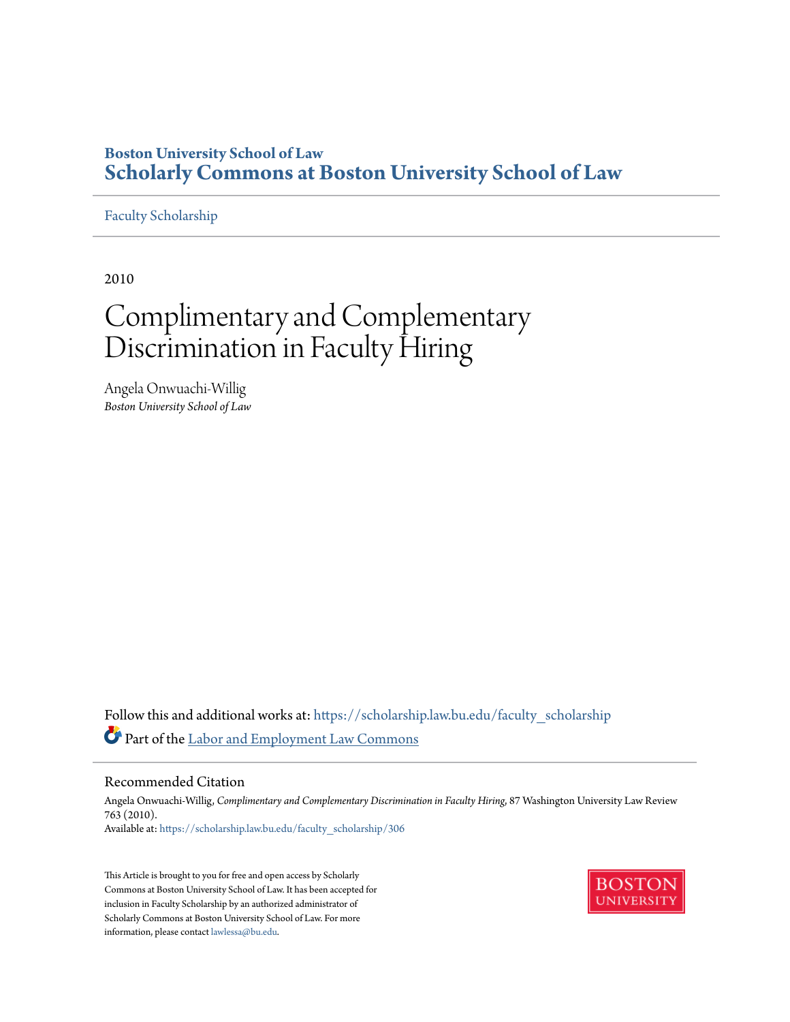### **Boston University School of Law [Scholarly Commons at Boston University School of Law](https://scholarship.law.bu.edu?utm_source=scholarship.law.bu.edu%2Ffaculty_scholarship%2F306&utm_medium=PDF&utm_campaign=PDFCoverPages)**

#### [Faculty Scholarship](https://scholarship.law.bu.edu/faculty_scholarship?utm_source=scholarship.law.bu.edu%2Ffaculty_scholarship%2F306&utm_medium=PDF&utm_campaign=PDFCoverPages)

2010

# Complimentary and Complementary Discrimination in Faculty Hiring

Angela Onwuachi-Willig *Boston University School of Law*

Follow this and additional works at: [https://scholarship.law.bu.edu/faculty\\_scholarship](https://scholarship.law.bu.edu/faculty_scholarship?utm_source=scholarship.law.bu.edu%2Ffaculty_scholarship%2F306&utm_medium=PDF&utm_campaign=PDFCoverPages) Part of the [Labor and Employment Law Commons](http://network.bepress.com/hgg/discipline/909?utm_source=scholarship.law.bu.edu%2Ffaculty_scholarship%2F306&utm_medium=PDF&utm_campaign=PDFCoverPages)

#### Recommended Citation

Angela Onwuachi-Willig, *Complimentary and Complementary Discrimination in Faculty Hiring*, 87 Washington University Law Review 763 (2010). Available at: [https://scholarship.law.bu.edu/faculty\\_scholarship/306](https://scholarship.law.bu.edu/faculty_scholarship/306?utm_source=scholarship.law.bu.edu%2Ffaculty_scholarship%2F306&utm_medium=PDF&utm_campaign=PDFCoverPages)

This Article is brought to you for free and open access by Scholarly Commons at Boston University School of Law. It has been accepted for inclusion in Faculty Scholarship by an authorized administrator of Scholarly Commons at Boston University School of Law. For more information, please contact [lawlessa@bu.edu.](mailto:lawlessa@bu.edu)

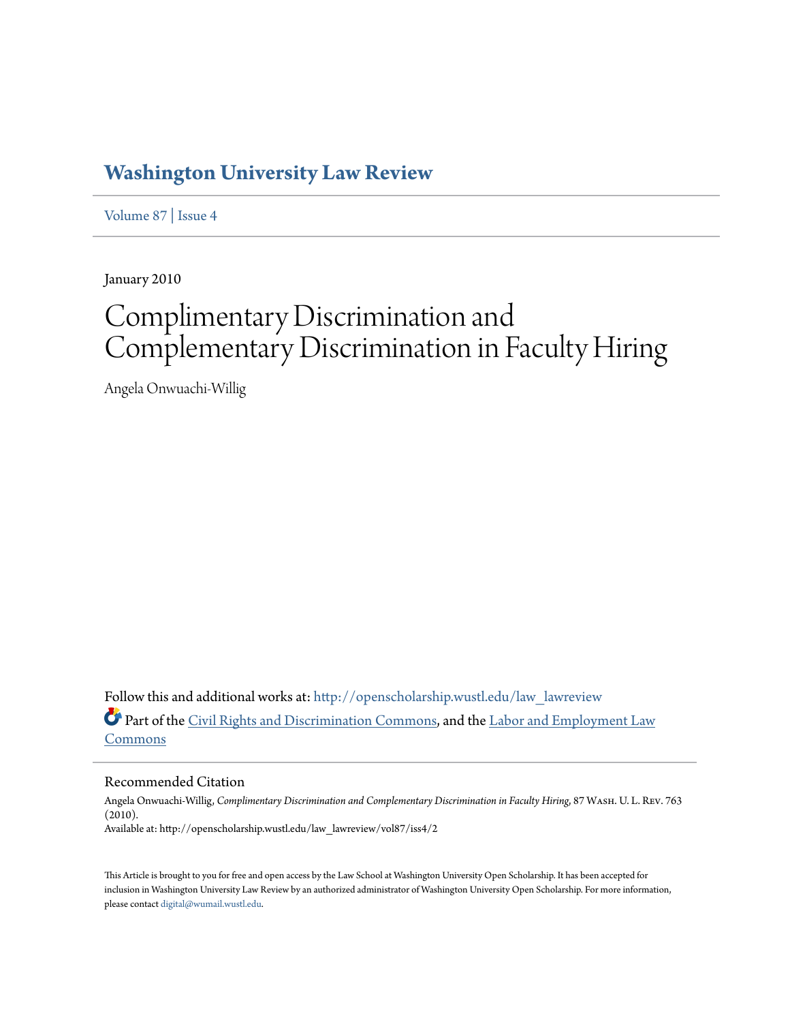## **[Washington University Law Review](http://openscholarship.wustl.edu/law_lawreview?utm_source=openscholarship.wustl.edu%2Flaw_lawreview%2Fvol87%2Fiss4%2F2&utm_medium=PDF&utm_campaign=PDFCoverPages)**

[Volume 87](http://openscholarship.wustl.edu/law_lawreview/vol87?utm_source=openscholarship.wustl.edu%2Flaw_lawreview%2Fvol87%2Fiss4%2F2&utm_medium=PDF&utm_campaign=PDFCoverPages) | [Issue 4](http://openscholarship.wustl.edu/law_lawreview/vol87/iss4?utm_source=openscholarship.wustl.edu%2Flaw_lawreview%2Fvol87%2Fiss4%2F2&utm_medium=PDF&utm_campaign=PDFCoverPages)

January 2010

# Complimentary Discrimination and Complementary Discrimination in Faculty Hiring

Angela Onwuachi-Willig

Follow this and additional works at: [http://openscholarship.wustl.edu/law\\_lawreview](http://openscholarship.wustl.edu/law_lawreview?utm_source=openscholarship.wustl.edu%2Flaw_lawreview%2Fvol87%2Fiss4%2F2&utm_medium=PDF&utm_campaign=PDFCoverPages) Part of the [Civil Rights and Discrimination Commons,](http://network.bepress.com/hgg/discipline/585?utm_source=openscholarship.wustl.edu%2Flaw_lawreview%2Fvol87%2Fiss4%2F2&utm_medium=PDF&utm_campaign=PDFCoverPages) and the [Labor and Employment Law](http://network.bepress.com/hgg/discipline/909?utm_source=openscholarship.wustl.edu%2Flaw_lawreview%2Fvol87%2Fiss4%2F2&utm_medium=PDF&utm_campaign=PDFCoverPages) [Commons](http://network.bepress.com/hgg/discipline/909?utm_source=openscholarship.wustl.edu%2Flaw_lawreview%2Fvol87%2Fiss4%2F2&utm_medium=PDF&utm_campaign=PDFCoverPages)

#### Recommended Citation

Angela Onwuachi-Willig, *Complimentary Discrimination and Complementary Discrimination in Faculty Hiring*, 87 Wash. U. L. Rev. 763 (2010). Available at: http://openscholarship.wustl.edu/law\_lawreview/vol87/iss4/2

This Article is brought to you for free and open access by the Law School at Washington University Open Scholarship. It has been accepted for inclusion in Washington University Law Review by an authorized administrator of Washington University Open Scholarship. For more information, please contact [digital@wumail.wustl.edu.](mailto:digital@wumail.wustl.edu)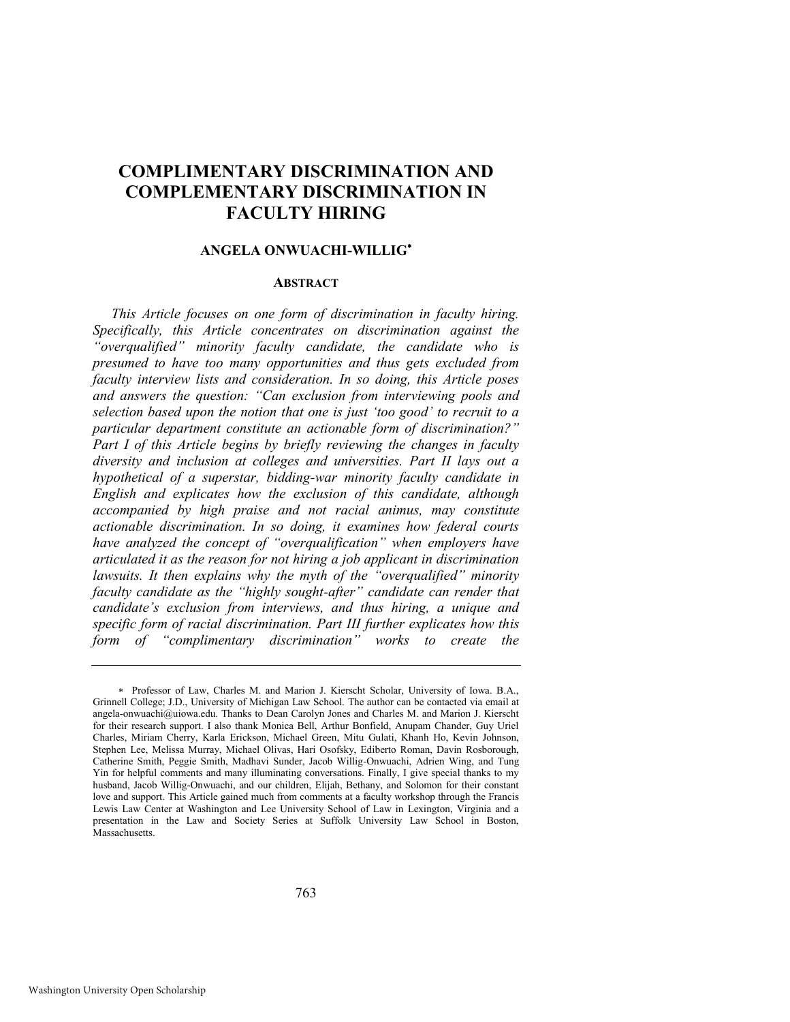### **COMPLIMENTARY DISCRIMINATION AND COMPLEMENTARY DISCRIMINATION IN FACULTY HIRING**

#### **ANGELA ONWUACHI-WILLIG**

#### **ABSTRACT**

*This Article focuses on one form of discrimination in faculty hiring. Specifically, this Article concentrates on discrimination against the "overqualified" minority faculty candidate, the candidate who is presumed to have too many opportunities and thus gets excluded from faculty interview lists and consideration. In so doing, this Article poses and answers the question: "Can exclusion from interviewing pools and selection based upon the notion that one is just "too good" to recruit to a particular department constitute an actionable form of discrimination?" Part I of this Article begins by briefly reviewing the changes in faculty diversity and inclusion at colleges and universities. Part II lays out a hypothetical of a superstar, bidding-war minority faculty candidate in English and explicates how the exclusion of this candidate, although accompanied by high praise and not racial animus, may constitute actionable discrimination. In so doing, it examines how federal courts have analyzed the concept of "overqualification" when employers have articulated it as the reason for not hiring a job applicant in discrimination lawsuits. It then explains why the myth of the "overqualified" minority faculty candidate as the "highly sought-after" candidate can render that candidate"s exclusion from interviews, and thus hiring, a unique and specific form of racial discrimination. Part III further explicates how this form of "complimentary discrimination" works to create the* 

Professor of Law, Charles M. and Marion J. Kierscht Scholar, University of Iowa. B.A., Grinnell College; J.D., University of Michigan Law School. The author can be contacted via email at angela-onwuachi@uiowa.edu. Thanks to Dean Carolyn Jones and Charles M. and Marion J. Kierscht for their research support. I also thank Monica Bell, Arthur Bonfield, Anupam Chander, Guy Uriel Charles, Miriam Cherry, Karla Erickson, Michael Green, Mitu Gulati, Khanh Ho, Kevin Johnson, Stephen Lee, Melissa Murray, Michael Olivas, Hari Osofsky, Ediberto Roman, Davin Rosborough, Catherine Smith, Peggie Smith, Madhavi Sunder, Jacob Willig-Onwuachi, Adrien Wing, and Tung Yin for helpful comments and many illuminating conversations. Finally, I give special thanks to my husband, Jacob Willig-Onwuachi, and our children, Elijah, Bethany, and Solomon for their constant love and support. This Article gained much from comments at a faculty workshop through the Francis Lewis Law Center at Washington and Lee University School of Law in Lexington, Virginia and a presentation in the Law and Society Series at Suffolk University Law School in Boston, **Massachusetts**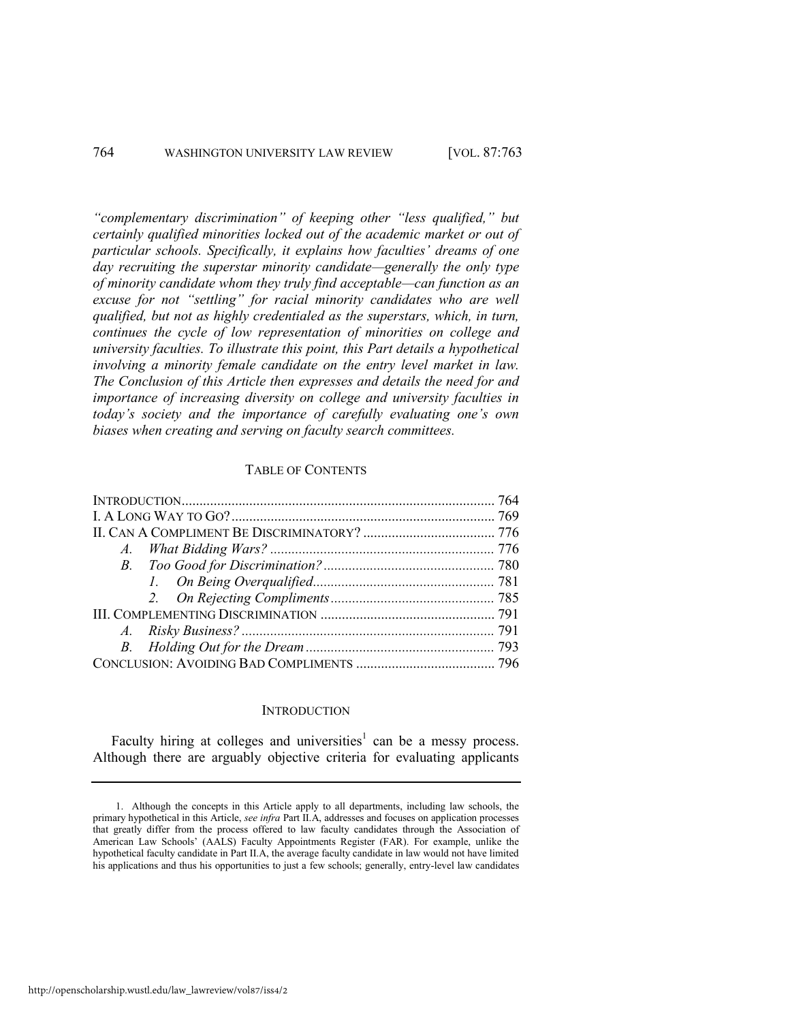*"complementary discrimination" of keeping other "less qualified," but certainly qualified minorities locked out of the academic market or out of particular schools. Specifically, it explains how faculties" dreams of one day recruiting the superstar minority candidate—generally the only type of minority candidate whom they truly find acceptable—can function as an excuse for not "settling" for racial minority candidates who are well qualified, but not as highly credentialed as the superstars, which, in turn, continues the cycle of low representation of minorities on college and university faculties. To illustrate this point, this Part details a hypothetical involving a minority female candidate on the entry level market in law. The Conclusion of this Article then expresses and details the need for and importance of increasing diversity on college and university faculties in today"s society and the importance of carefully evaluating one"s own biases when creating and serving on faculty search committees.* 

#### TABLE OF CONTENTS

#### <span id="page-3-0"></span>**INTRODUCTION**

Faculty hiring at colleges and universities<sup>1</sup> can be a messy process. Although there are arguably objective criteria for evaluating applicants

http://openscholarship.wustl.edu/law\_lawreview/vol87/iss4/2

<sup>1.</sup> Although the concepts in this Article apply to all departments, including law schools, the primary hypothetical in this Article, *see infra* Part II.A, addresses and focuses on application processes that greatly differ from the process offered to law faculty candidates through the Association of American Law Schools' (AALS) Faculty Appointments Register (FAR). For example, unlike the hypothetical faculty candidate in Part II.A, the average faculty candidate in law would not have limited his applications and thus his opportunities to just a few schools; generally, entry-level law candidates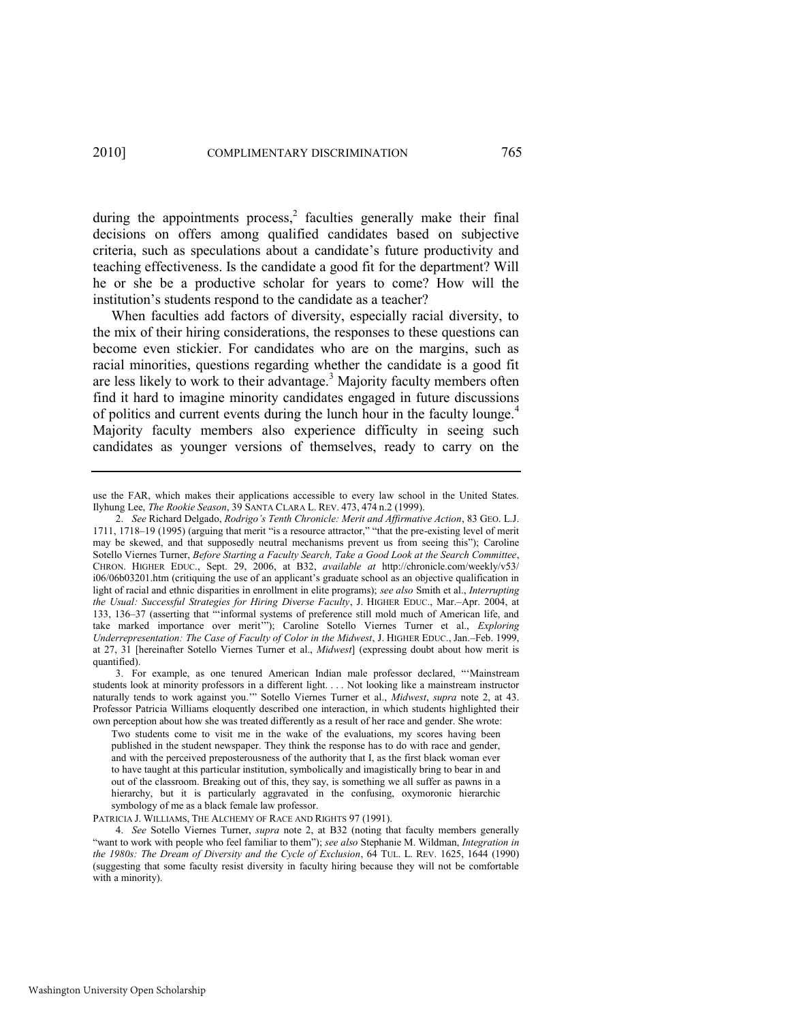<span id="page-4-0"></span>during the appointments process, $\frac{2}{3}$  faculties generally make their final decisions on offers among qualified candidates based on subjective criteria, such as speculations about a candidate's future productivity and teaching effectiveness. Is the candidate a good fit for the department? Will he or she be a productive scholar for years to come? How will the institution's students respond to the candidate as a teacher?

When faculties add factors of diversity, especially racial diversity, to the mix of their hiring considerations, the responses to these questions can become even stickier. For candidates who are on the margins, such as racial minorities, questions regarding whether the candidate is a good fit are less likely to work to their advantage.<sup>3</sup> Majority faculty members often find it hard to imagine minority candidates engaged in future discussions of politics and current events during the lunch hour in the faculty lounge.<sup>4</sup> Majority faculty members also experience difficulty in seeing such candidates as younger versions of themselves, ready to carry on the

PATRICIA J. WILLIAMS, THE ALCHEMY OF RACE AND RIGHTS 97 (1991).

<span id="page-4-1"></span>use the FAR, which makes their applications accessible to every law school in the United States. Ilyhung Lee, *The Rookie Season*, 39 SANTA CLARA L. REV. 473, 474 n.2 (1999).

<sup>2.</sup> *See* Richard Delgado, *Rodrigo"s Tenth Chronicle: Merit and Affirmative Action*, 83 GEO. L.J. 1711, 1718–19 (1995) (arguing that merit "is a resource attractor," "that the pre-existing level of merit may be skewed, and that supposedly neutral mechanisms prevent us from seeing this"); Caroline Sotello Viernes Turner, *Before Starting a Faculty Search, Take a Good Look at the Search Committee*, CHRON. HIGHER EDUC., Sept. 29, 2006, at B32, *available at* http://chronicle.com/weekly/v53/ i06/06b03201.htm (critiquing the use of an applicant's graduate school as an objective qualification in light of racial and ethnic disparities in enrollment in elite programs); *see also* Smith et al., *Interrupting the Usual: Successful Strategies for Hiring Diverse Faculty*, J. HIGHER EDUC., Mar.–Apr. 2004, at 133, 136-37 (asserting that "informal systems of preference still mold much of American life, and take marked importance over merit""); Caroline Sotello Viernes Turner et al., *Exploring Underrepresentation: The Case of Faculty of Color in the Midwest*, J. HIGHER EDUC., Jan.–Feb. 1999, at 27, 31 [hereinafter Sotello Viernes Turner et al., *Midwest*] (expressing doubt about how merit is quantified).

<sup>3.</sup> For example, as one tenured American Indian male professor declared, "'Mainstream students look at minority professors in a different light. . . . Not looking like a mainstream instructor naturally tends to work against you." Sotello Viernes Turner et al., *Midwest*, *supra* note [2,](#page-4-0) at 43. Professor Patricia Williams eloquently described one interaction, in which students highlighted their own perception about how she was treated differently as a result of her race and gender. She wrote:

Two students come to visit me in the wake of the evaluations, my scores having been published in the student newspaper. They think the response has to do with race and gender, and with the perceived preposterousness of the authority that I, as the first black woman ever to have taught at this particular institution, symbolically and imagistically bring to bear in and out of the classroom. Breaking out of this, they say, is something we all suffer as pawns in a hierarchy, but it is particularly aggravated in the confusing, oxymoronic hierarchic symbology of me as a black female law professor.

<sup>4.</sup> *See* Sotello Viernes Turner, *supra* note [2,](#page-4-0) at B32 (noting that faculty members generally "want to work with people who feel familiar to them"); see also Stephanie M. Wildman, Integration in *the 1980s: The Dream of Diversity and the Cycle of Exclusion*, 64 TUL. L. REV. 1625, 1644 (1990) (suggesting that some faculty resist diversity in faculty hiring because they will not be comfortable with a minority).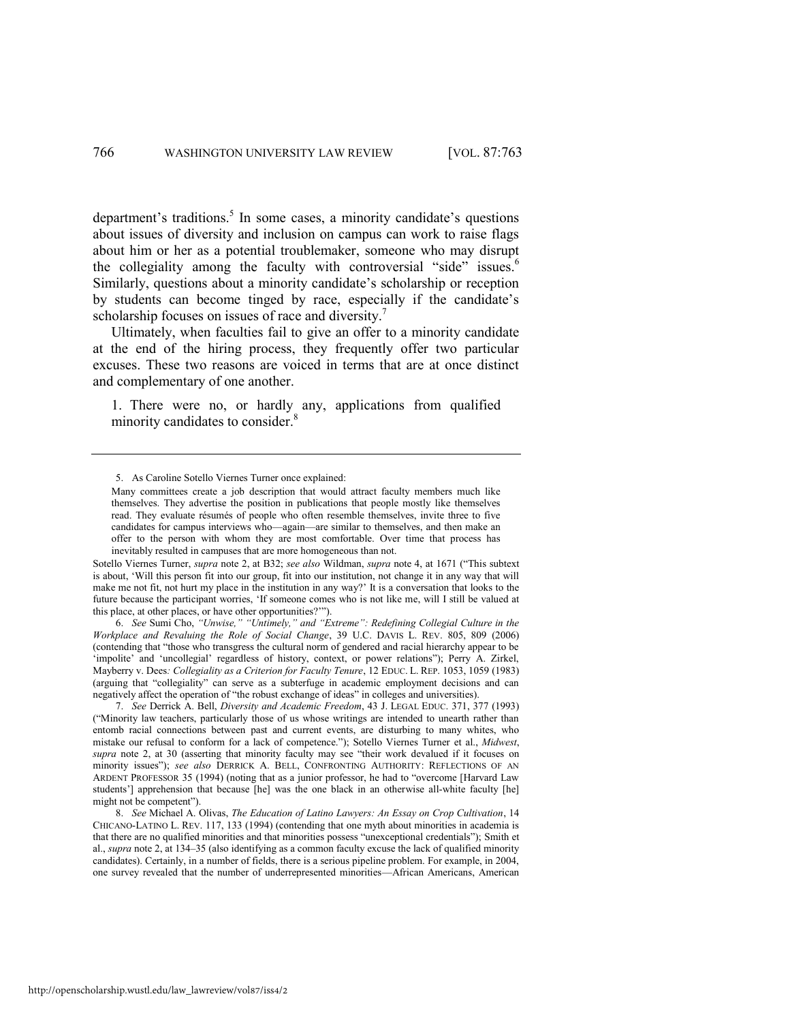department's traditions.<sup>5</sup> In some cases, a minority candidate's questions about issues of diversity and inclusion on campus can work to raise flags about him or her as a potential troublemaker, someone who may disrupt the collegiality among the faculty with controversial "side" issues.<sup>6</sup> Similarly, questions about a minority candidate's scholarship or reception by students can become tinged by race, especially if the candidate's scholarship focuses on issues of race and diversity.<sup>7</sup>

Ultimately, when faculties fail to give an offer to a minority candidate at the end of the hiring process, they frequently offer two particular excuses. These two reasons are voiced in terms that are at once distinct and complementary of one another.

<span id="page-5-1"></span><span id="page-5-0"></span>1. There were no, or hardly any, applications from qualified minority candidates to consider.<sup>8</sup>

Sotello Viernes Turner, *supra* not[e 2,](#page-4-0) at B32; *see also* Wildman, *supra* not[e 4](#page-4-1), at 1671 ("This subtext") is about, ‗Will this person fit into our group, fit into our institution, not change it in any way that will make me not fit, not hurt my place in the institution in any way?' It is a conversation that looks to the future because the participant worries, 'If someone comes who is not like me, will I still be valued at this place, at other places, or have other opportunities?'").

6. *See* Sumi Cho, *"Unwise," "Untimely," and "Extreme": Redefining Collegial Culture in the Workplace and Revaluing the Role of Social Change*, 39 U.C. DAVIS L. REV. 805, 809 (2006) (contending that "those who transgress the cultural norm of gendered and racial hierarchy appear to be 'impolite' and 'uncollegial' regardless of history, context, or power relations''); Perry A. Zirkel, Mayberry v. Dees*: Collegiality as a Criterion for Faculty Tenure*, 12 EDUC. L. REP. 1053, 1059 (1983) (arguing that "collegiality" can serve as a subterfuge in academic employment decisions and can negatively affect the operation of "the robust exchange of ideas" in colleges and universities).

7. *See* Derrick A. Bell, *Diversity and Academic Freedom*, 43 J. LEGAL EDUC. 371, 377 (1993) (―Minority law teachers, particularly those of us whose writings are intended to unearth rather than entomb racial connections between past and current events, are disturbing to many whites, who mistake our refusal to conform for a lack of competence.‖); Sotello Viernes Turner et al., *Midwest*, supra note [2](#page-4-0), at 30 (asserting that minority faculty may see "their work devalued if it focuses on minority issues‖); *see also* DERRICK A. BELL, CONFRONTING AUTHORITY: REFLECTIONS OF AN ARDENT PROFESSOR 35 (1994) (noting that as a junior professor, he had to "overcome [Harvard Law students'] apprehension that because [he] was the one black in an otherwise all-white faculty [he] might not be competent").

8. *See* Michael A. Olivas, *The Education of Latino Lawyers: An Essay on Crop Cultivation*, 14 CHICANO-LATINO L. REV. 117, 133 (1994) (contending that one myth about minorities in academia is that there are no qualified minorities and that minorities possess "unexceptional credentials"); Smith et al., *supra* note [2,](#page-4-0) at 134–35 (also identifying as a common faculty excuse the lack of qualified minority candidates). Certainly, in a number of fields, there is a serious pipeline problem. For example, in 2004, one survey revealed that the number of underrepresented minorities—African Americans, American

<sup>5.</sup> As Caroline Sotello Viernes Turner once explained:

Many committees create a job description that would attract faculty members much like themselves. They advertise the position in publications that people mostly like themselves read. They evaluate résumés of people who often resemble themselves, invite three to five candidates for campus interviews who—again—are similar to themselves, and then make an offer to the person with whom they are most comfortable. Over time that process has inevitably resulted in campuses that are more homogeneous than not.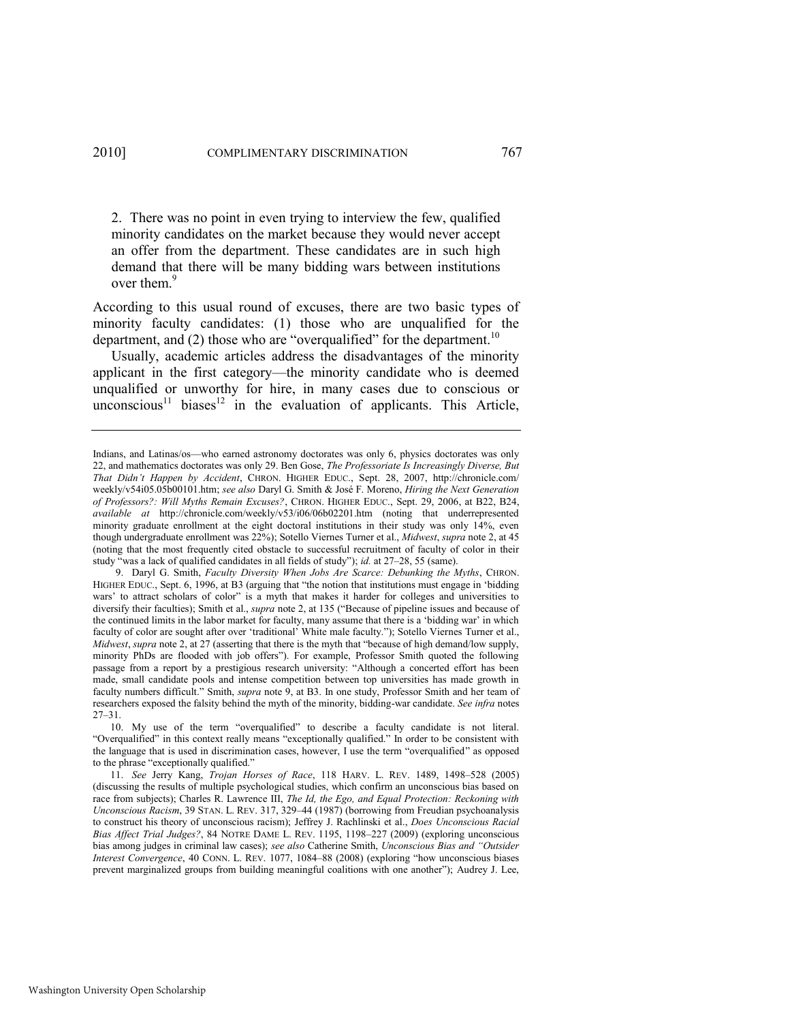2. There was no point in even trying to interview the few, qualified minority candidates on the market because they would never accept an offer from the department. These candidates are in such high demand that there will be many bidding wars between institutions over them.<sup>9</sup>

<span id="page-6-0"></span>According to this usual round of excuses, there are two basic types of minority faculty candidates: (1) those who are unqualified for the department, and (2) those who are "overqualified" for the department.<sup>10</sup>

Usually, academic articles address the disadvantages of the minority applicant in the first category—the minority candidate who is deemed unqualified or unworthy for hire, in many cases due to conscious or unconscious<sup>11</sup> biases<sup>12</sup> in the evaluation of applicants. This Article,

Indians, and Latinas/os—who earned astronomy doctorates was only 6, physics doctorates was only 22, and mathematics doctorates was only 29. Ben Gose, *The Professoriate Is Increasingly Diverse, But That Didn"t Happen by Accident*, CHRON. HIGHER EDUC., Sept. 28, 2007, http://chronicle.com/ weekly/v54i05.05b00101.htm; *see also* Daryl G. Smith & José F. Moreno, *Hiring the Next Generation of Professors?: Will Myths Remain Excuses?*, CHRON. HIGHER EDUC., Sept. 29, 2006, at B22, B24, *available at* http://chronicle.com/weekly/v53/i06/06b02201.htm (noting that underrepresented minority graduate enrollment at the eight doctoral institutions in their study was only 14%, even though undergraduate enrollment was 22%); Sotello Viernes Turner et al., *Midwest*, *supra* not[e 2,](#page-4-0) at 45 (noting that the most frequently cited obstacle to successful recruitment of faculty of color in their study "was a lack of qualified candidates in all fields of study"); *id.* at 27-28, 55 (same).

<sup>9.</sup> Daryl G. Smith, *Faculty Diversity When Jobs Are Scarce: Debunking the Myths*, CHRON. HIGHER EDUC., Sept. 6, 1996, at B3 (arguing that "the notion that institutions must engage in 'bidding wars' to attract scholars of color" is a myth that makes it harder for colleges and universities to diversify their faculties); Smith et al., *supra* not[e 2](#page-4-0), at 135 ("Because of pipeline issues and because of the continued limits in the labor market for faculty, many assume that there is a 'bidding war' in which faculty of color are sought after over 'traditional' White male faculty."); Sotello Viernes Turner et al., *Midwest, supra* not[e 2](#page-4-0), at 27 (asserting that there is the myth that "because of high demand/low supply, minority PhDs are flooded with job offers"). For example, Professor Smith quoted the following passage from a report by a prestigious research university: "Although a concerted effort has been made, small candidate pools and intense competition between top universities has made growth in faculty numbers difficult." Smith, *supra* note [9,](#page-6-0) at B3. In one study, Professor Smith and her team of researchers exposed the falsity behind the myth of the minority, bidding-war candidate. *See infra* notes [27](#page-10-0)–[31.](#page-11-0) 

<sup>10.</sup> My use of the term "overqualified" to describe a faculty candidate is not literal. "Overqualified" in this context really means "exceptionally qualified." In order to be consistent with the language that is used in discrimination cases, however, I use the term "overqualified" as opposed to the phrase "exceptionally qualified."

<sup>11.</sup> *See* Jerry Kang, *Trojan Horses of Race*, 118 HARV. L. REV. 1489, 1498–528 (2005) (discussing the results of multiple psychological studies, which confirm an unconscious bias based on race from subjects); Charles R. Lawrence III, *The Id, the Ego, and Equal Protection: Reckoning with Unconscious Racism*, 39 STAN. L. REV. 317, 329–44 (1987) (borrowing from Freudian psychoanalysis to construct his theory of unconscious racism); Jeffrey J. Rachlinski et al., *Does Unconscious Racial Bias Affect Trial Judges?*, 84 NOTRE DAME L. REV. 1195, 1198–227 (2009) (exploring unconscious bias among judges in criminal law cases); *see also* Catherine Smith, *Unconscious Bias and "Outsider Interest Convergence*, 40 CONN. L. REV. 1077, 1084–88 (2008) (exploring "how unconscious biases prevent marginalized groups from building meaningful coalitions with one another"); Audrey J. Lee,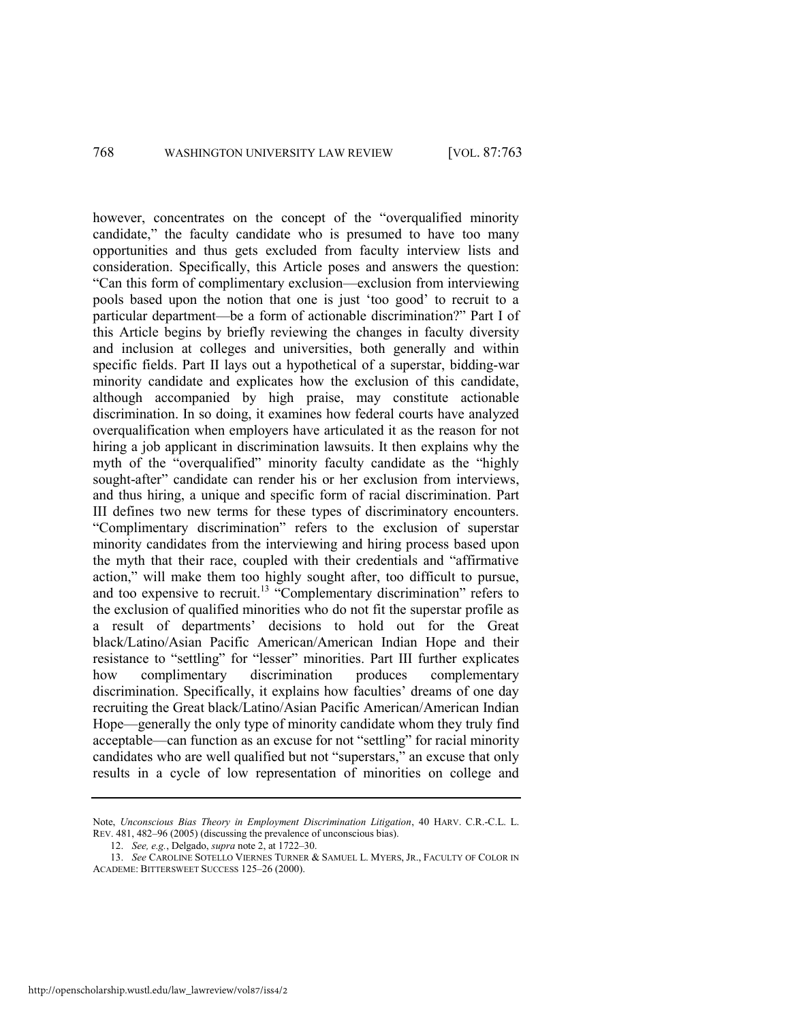however, concentrates on the concept of the "overqualified minority candidate," the faculty candidate who is presumed to have too many opportunities and thus gets excluded from faculty interview lists and consideration. Specifically, this Article poses and answers the question: ―Can this form of complimentary exclusion—exclusion from interviewing pools based upon the notion that one is just ‗too good' to recruit to a particular department—be a form of actionable discrimination?" Part I of this Article begins by briefly reviewing the changes in faculty diversity and inclusion at colleges and universities, both generally and within specific fields. Part II lays out a hypothetical of a superstar, bidding-war minority candidate and explicates how the exclusion of this candidate, although accompanied by high praise, may constitute actionable discrimination. In so doing, it examines how federal courts have analyzed overqualification when employers have articulated it as the reason for not hiring a job applicant in discrimination lawsuits. It then explains why the myth of the "overqualified" minority faculty candidate as the "highly sought-after" candidate can render his or her exclusion from interviews, and thus hiring, a unique and specific form of racial discrimination. Part III defines two new terms for these types of discriminatory encounters. ―Complimentary discrimination‖ refers to the exclusion of superstar minority candidates from the interviewing and hiring process based upon the myth that their race, coupled with their credentials and "affirmative action," will make them too highly sought after, too difficult to pursue, and too expensive to recruit.<sup>13</sup> "Complementary discrimination" refers to the exclusion of qualified minorities who do not fit the superstar profile as a result of departments' decisions to hold out for the Great black/Latino/Asian Pacific American/American Indian Hope and their resistance to "settling" for "lesser" minorities. Part III further explicates how complimentary discrimination produces complementary discrimination. Specifically, it explains how faculties' dreams of one day recruiting the Great black/Latino/Asian Pacific American/American Indian Hope—generally the only type of minority candidate whom they truly find acceptable—can function as an excuse for not "settling" for racial minority candidates who are well qualified but not "superstars," an excuse that only results in a cycle of low representation of minorities on college and

Note, *Unconscious Bias Theory in Employment Discrimination Litigation*, 40 HARV. C.R.-C.L. L. REV. 481, 482–96 (2005) (discussing the prevalence of unconscious bias).

<sup>12.</sup> *See, e.g.*, Delgado, *supra* not[e 2,](#page-4-0) at 1722–30.

<sup>13.</sup> *See* CAROLINE SOTELLO VIERNES TURNER & SAMUEL L. MYERS, JR., FACULTY OF COLOR IN ACADEME: BITTERSWEET SUCCESS 125–26 (2000).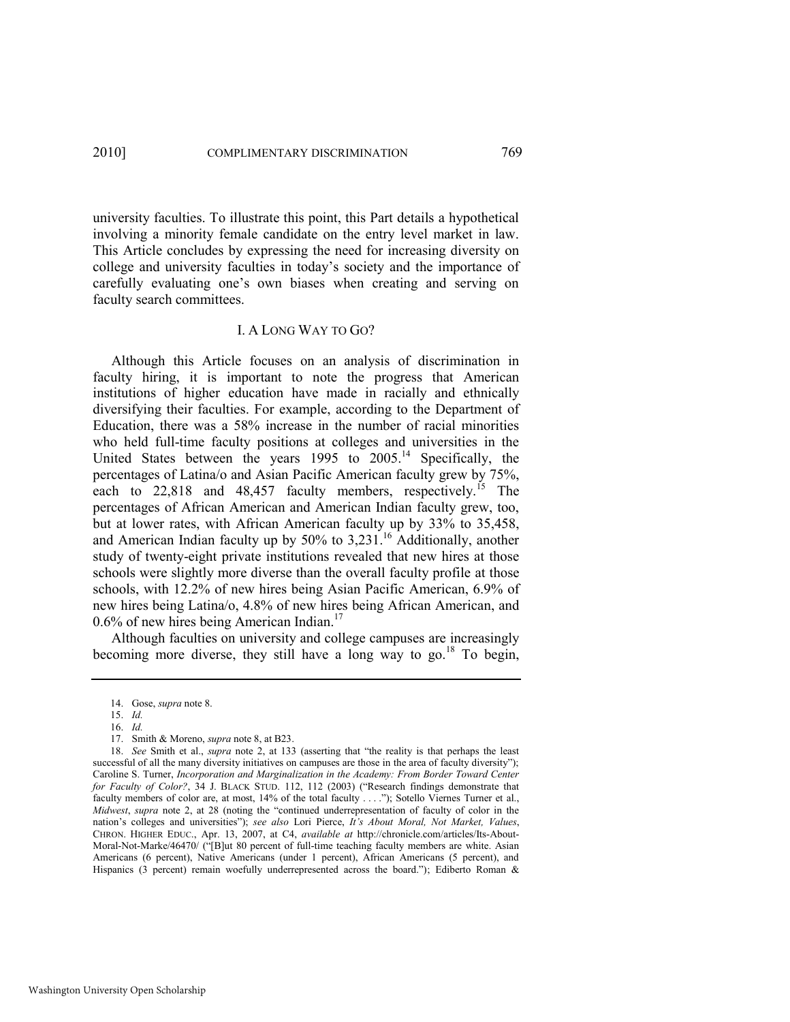university faculties. To illustrate this point, this Part details a hypothetical involving a minority female candidate on the entry level market in law. This Article concludes by expressing the need for increasing diversity on college and university faculties in today's society and the importance of carefully evaluating one's own biases when creating and serving on faculty search committees.

#### I. A LONG WAY TO GO?

Although this Article focuses on an analysis of discrimination in faculty hiring, it is important to note the progress that American institutions of higher education have made in racially and ethnically diversifying their faculties. For example, according to the Department of Education, there was a 58% increase in the number of racial minorities who held full-time faculty positions at colleges and universities in the United States between the years 1995 to 2005.<sup>14</sup> Specifically, the percentages of Latina/o and Asian Pacific American faculty grew by 75%, each to 22,818 and 48,457 faculty members, respectively.<sup>15</sup> The percentages of African American and American Indian faculty grew, too, but at lower rates, with African American faculty up by 33% to 35,458, and American Indian faculty up by  $50\%$  to  $3,231$ .<sup>16</sup> Additionally, another study of twenty-eight private institutions revealed that new hires at those schools were slightly more diverse than the overall faculty profile at those schools, with 12.2% of new hires being Asian Pacific American, 6.9% of new hires being Latina/o, 4.8% of new hires being African American, and  $0.6\%$  of new hires being American Indian.<sup>17</sup>

Although faculties on university and college campuses are increasingly becoming more diverse, they still have a long way to go.<sup>18</sup> To begin,

<span id="page-8-0"></span><sup>14.</sup> Gose, *supra* not[e 8.](#page-5-0) 

<sup>15.</sup> *Id.*

<sup>16.</sup> *Id.*

<sup>17.</sup> Smith & Moreno, *supra* not[e 8,](#page-5-0) at B23.

<sup>18.</sup> *See* Smith et al., *supra* note [2](#page-4-0), at 133 (asserting that "the reality is that perhaps the least successful of all the many diversity initiatives on campuses are those in the area of faculty diversity"); Caroline S. Turner, *Incorporation and Marginalization in the Academy: From Border Toward Center for Faculty of Color?*, 34 J. BLACK STUD. 112, 112 (2003) ("Research findings demonstrate that faculty members of color are, at most, 14% of the total faculty . . . ."); Sotello Viernes Turner et al., *Midwest, supra* note [2](#page-4-0), at 28 (noting the "continued underrepresentation of faculty of color in the nation's colleges and universities"); see also Lori Pierce, *It's About Moral, Not Market, Values*, CHRON. HIGHER EDUC., Apr. 13, 2007, at C4, *available at* http://chronicle.com/articles/Its-About-Moral-Not-Marke/46470/ ("[B]ut 80 percent of full-time teaching faculty members are white. Asian Americans (6 percent), Native Americans (under 1 percent), African Americans (5 percent), and Hispanics (3 percent) remain woefully underrepresented across the board."); Ediberto Roman  $\&$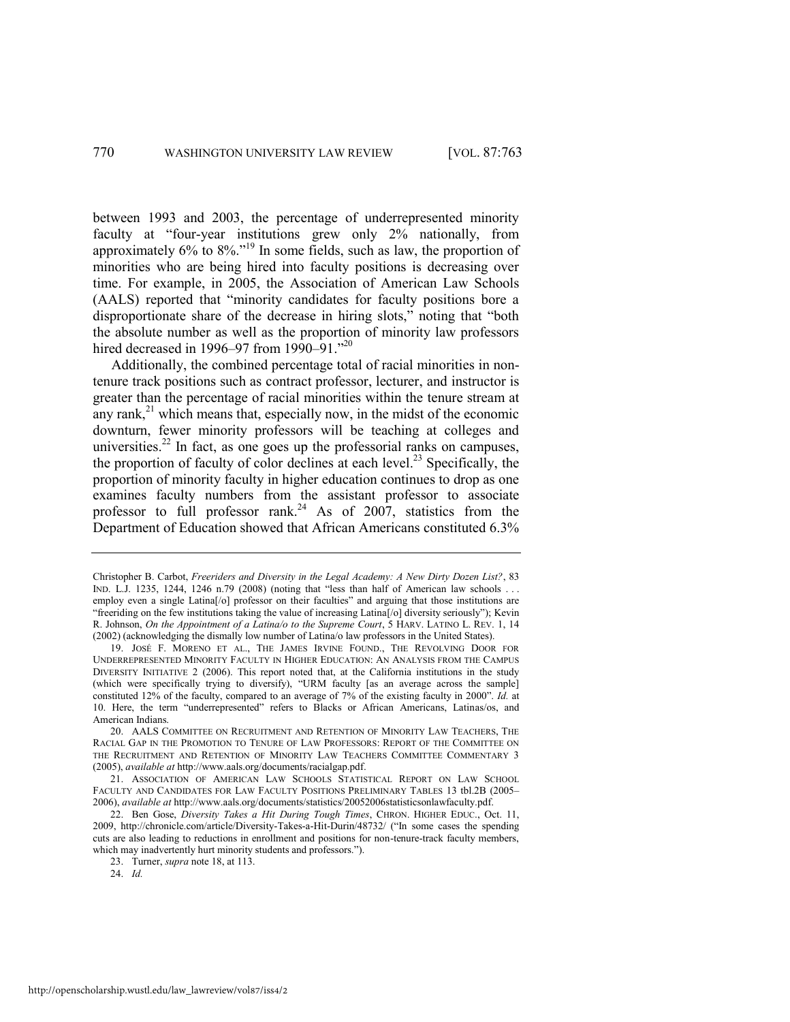<span id="page-9-0"></span>between 1993 and 2003, the percentage of underrepresented minority faculty at "four-year institutions grew only 2% nationally, from approximately  $6\%$  to  $8\%$ ."<sup>19</sup> In some fields, such as law, the proportion of minorities who are being hired into faculty positions is decreasing over time. For example, in 2005, the Association of American Law Schools (AALS) reported that "minority candidates for faculty positions bore a disproportionate share of the decrease in hiring slots," noting that "both the absolute number as well as the proportion of minority law professors hired decreased in 1996–97 from 1990–91."<sup>20</sup>

<span id="page-9-1"></span>Additionally, the combined percentage total of racial minorities in nontenure track positions such as contract professor, lecturer, and instructor is greater than the percentage of racial minorities within the tenure stream at any rank, $^{21}$  which means that, especially now, in the midst of the economic downturn, fewer minority professors will be teaching at colleges and universities.<sup>22</sup> In fact, as one goes up the professorial ranks on campuses, the proportion of faculty of color declines at each level.<sup>23</sup> Specifically, the proportion of minority faculty in higher education continues to drop as one examines faculty numbers from the assistant professor to associate professor to full professor rank.<sup>24</sup> As of 2007, statistics from the Department of Education showed that African Americans constituted 6.3%

Christopher B. Carbot, *Freeriders and Diversity in the Legal Academy: A New Dirty Dozen List?*, 83 IND. L.J. 1235, 1244, 1246 n.79 (2008) (noting that "less than half of American law schools . . . employ even a single Latina<sup>[/o]</sup> professor on their faculties" and arguing that those institutions are "freeriding on the few institutions taking the value of increasing Latina<sup>[/o]</sup> diversity seriously"); Kevin R. Johnson, *On the Appointment of a Latina/o to the Supreme Court*, 5 HARV. LATINO L. REV. 1, 14 (2002) (acknowledging the dismally low number of Latina/o law professors in the United States).

<sup>19.</sup> JOSÉ F. MORENO ET AL., THE JAMES IRVINE FOUND., THE REVOLVING DOOR FOR UNDERREPRESENTED MINORITY FACULTY IN HIGHER EDUCATION: AN ANALYSIS FROM THE CAMPUS DIVERSITY INITIATIVE 2 (2006). This report noted that, at the California institutions in the study (which were specifically trying to diversify), "URM faculty [as an average across the sample] constituted 12% of the faculty, compared to an average of 7% of the existing faculty in 2000". *Id.* at 10. Here, the term "underrepresented" refers to Blacks or African Americans, Latinas/os, and American Indians.

<sup>20.</sup> AALS COMMITTEE ON RECRUITMENT AND RETENTION OF MINORITY LAW TEACHERS, THE RACIAL GAP IN THE PROMOTION TO TENURE OF LAW PROFESSORS: REPORT OF THE COMMITTEE ON THE RECRUITMENT AND RETENTION OF MINORITY LAW TEACHERS COMMITTEE COMMENTARY 3 (2005), *available at* http://www.aals.org/documents/racialgap.pdf.

<sup>21.</sup> ASSOCIATION OF AMERICAN LAW SCHOOLS STATISTICAL REPORT ON LAW SCHOOL FACULTY AND CANDIDATES FOR LAW FACULTY POSITIONS PRELIMINARY TABLES 13 tbl.2B (2005– 2006), *available at* http://www.aals.org/documents/statistics/20052006statisticsonlawfaculty.pdf.

<sup>22.</sup> Ben Gose, *Diversity Takes a Hit During Tough Times*, CHRON. HIGHER EDUC., Oct. 11, 2009, http://chronicle.com/article/Diversity-Takes-a-Hit-Durin/48732/ ("In some cases the spending cuts are also leading to reductions in enrollment and positions for non-tenure-track faculty members, which may inadvertently hurt minority students and professors.").

<sup>23.</sup> Turner, *supra* not[e 18,](#page-8-0) at 113.

<sup>24.</sup> *Id.*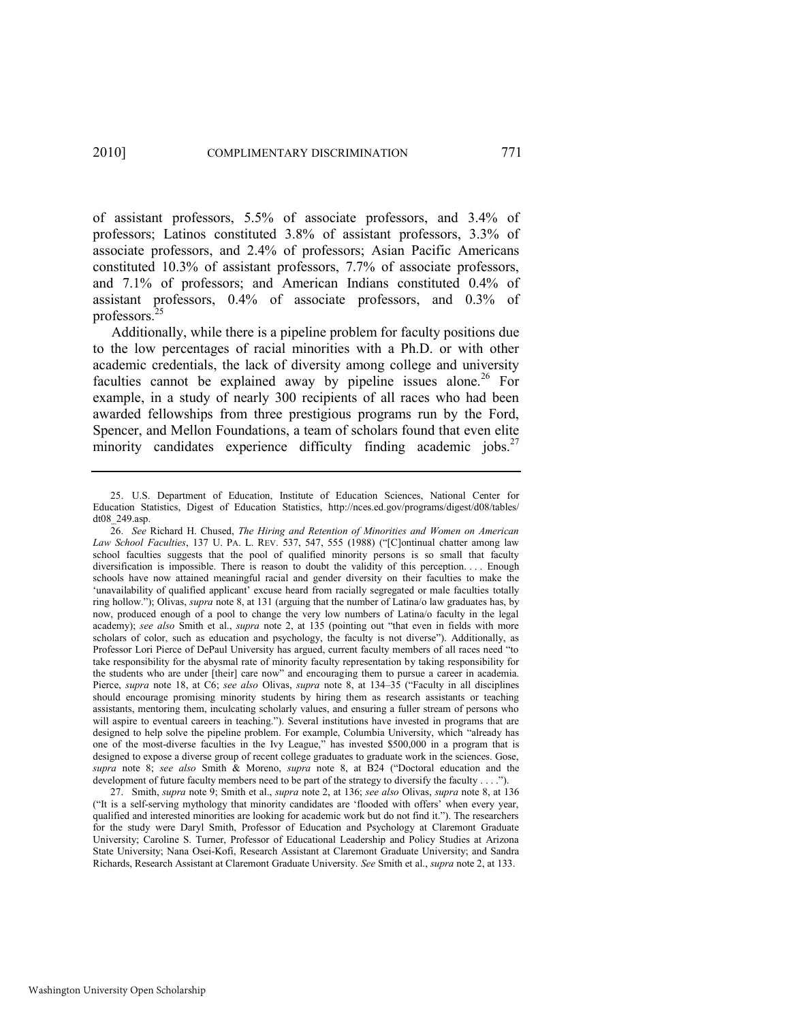of assistant professors, 5.5% of associate professors, and 3.4% of professors; Latinos constituted 3.8% of assistant professors, 3.3% of associate professors, and 2.4% of professors; Asian Pacific Americans constituted 10.3% of assistant professors, 7.7% of associate professors, and 7.1% of professors; and American Indians constituted 0.4% of assistant professors, 0.4% of associate professors, and 0.3% of professors.<sup>25</sup>

Additionally, while there is a pipeline problem for faculty positions due to the low percentages of racial minorities with a Ph.D. or with other academic credentials, the lack of diversity among college and university faculties cannot be explained away by pipeline issues alone.<sup>26</sup> For example, in a study of nearly 300 recipients of all races who had been awarded fellowships from three prestigious programs run by the Ford, Spencer, and Mellon Foundations, a team of scholars found that even elite minority candidates experience difficulty finding academic jobs.<sup>27</sup>

27. Smith, *supra* not[e 9;](#page-6-0) Smith et al., *supra* note [2,](#page-4-0) at 136; *see also* Olivas, *supra* note [8,](#page-5-0) at 136 (―It is a self-serving mythology that minority candidates are ‗flooded with offers' when every year, qualified and interested minorities are looking for academic work but do not find it."). The researchers for the study were Daryl Smith, Professor of Education and Psychology at Claremont Graduate University; Caroline S. Turner, Professor of Educational Leadership and Policy Studies at Arizona State University; Nana Osei-Kofi, Research Assistant at Claremont Graduate University; and Sandra Richards, Research Assistant at Claremont Graduate University. *See* Smith et al., *supra* not[e 2,](#page-4-0) at 133.

<span id="page-10-0"></span><sup>25.</sup> U.S. Department of Education, Institute of Education Sciences, National Center for Education Statistics, Digest of Education Statistics, http://nces.ed.gov/programs/digest/d08/tables/ dt08\_249.asp.

<sup>26.</sup> *See* Richard H. Chused, *The Hiring and Retention of Minorities and Women on American Law School Faculties*, 137 U. PA. L. REV. 537, 547, 555 (1988) ("[C]ontinual chatter among law school faculties suggests that the pool of qualified minority persons is so small that faculty diversification is impossible. There is reason to doubt the validity of this perception. . . . Enough schools have now attained meaningful racial and gender diversity on their faculties to make the 'unavailability of qualified applicant' excuse heard from racially segregated or male faculties totally ring hollow.‖); Olivas, *supra* not[e 8,](#page-5-0) at 131 (arguing that the number of Latina/o law graduates has, by now, produced enough of a pool to change the very low numbers of Latina/o faculty in the legal academy); *see also* Smith et al., *supra* note [2](#page-4-0), at 135 (pointing out "that even in fields with more scholars of color, such as education and psychology, the faculty is not diverse"). Additionally, as Professor Lori Pierce of DePaul University has argued, current faculty members of all races need "to take responsibility for the abysmal rate of minority faculty representation by taking responsibility for the students who are under [their] care now" and encouraging them to pursue a career in academia. Pierce, *supra* note [18,](#page-8-0) at C6; *see also* Olivas, *supra* note [8,](#page-5-0) at 134–35 ("Faculty in all disciplines") should encourage promising minority students by hiring them as research assistants or teaching assistants, mentoring them, inculcating scholarly values, and ensuring a fuller stream of persons who will aspire to eventual careers in teaching."). Several institutions have invested in programs that are designed to help solve the pipeline problem. For example, Columbia University, which "already has one of the most-diverse faculties in the Ivy League," has invested \$500,000 in a program that is designed to expose a diverse group of recent college graduates to graduate work in the sciences. Gose, *supra* note [8;](#page-5-0) *see also* Smith & Moreno, *supra* note [8,](#page-5-0) at B24 ("Doctoral education and the development of future faculty members need to be part of the strategy to diversify the faculty . . . .").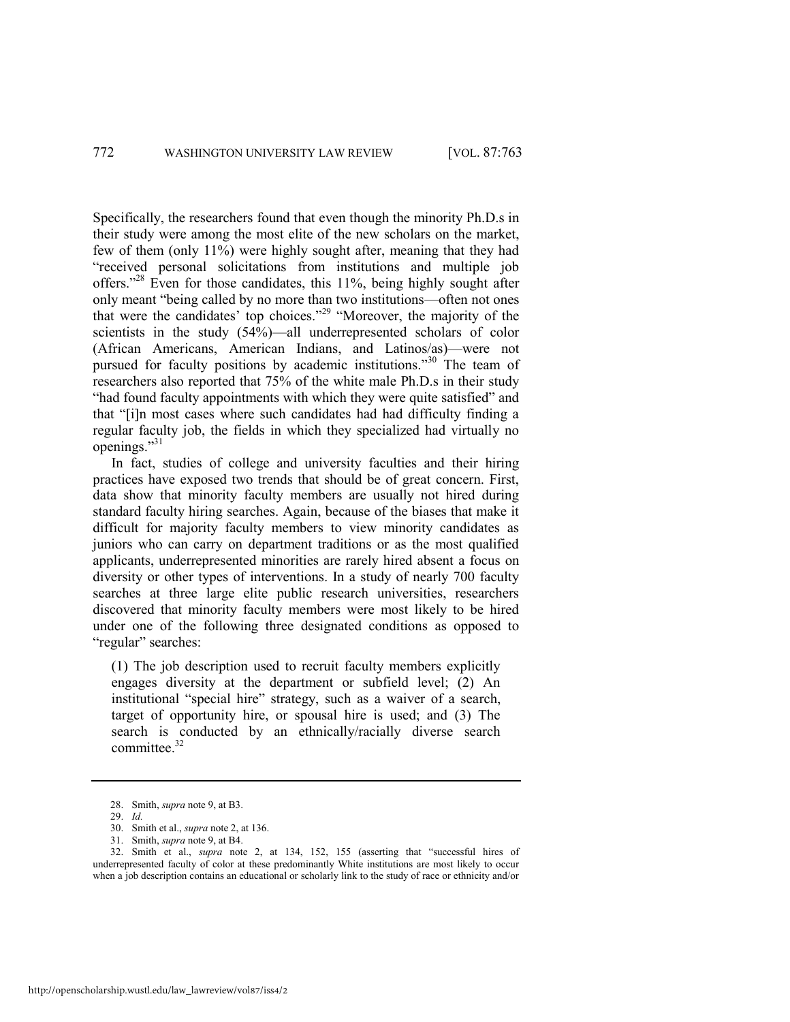Specifically, the researchers found that even though the minority Ph.D.s in their study were among the most elite of the new scholars on the market, few of them (only 11%) were highly sought after, meaning that they had "received personal solicitations from institutions and multiple job offers."<sup>28</sup> Even for those candidates, this 11%, being highly sought after only meant "being called by no more than two institutions—often not ones that were the candidates' top choices."<sup>29</sup> "Moreover, the majority of the scientists in the study (54%)—all underrepresented scholars of color (African Americans, American Indians, and Latinos/as)—were not pursued for faculty positions by academic institutions."<sup>30</sup> The team of researchers also reported that 75% of the white male Ph.D.s in their study "had found faculty appointments with which they were quite satisfied" and that "[i]n most cases where such candidates had had difficulty finding a regular faculty job, the fields in which they specialized had virtually no openings."31

<span id="page-11-0"></span>In fact, studies of college and university faculties and their hiring practices have exposed two trends that should be of great concern. First, data show that minority faculty members are usually not hired during standard faculty hiring searches. Again, because of the biases that make it difficult for majority faculty members to view minority candidates as juniors who can carry on department traditions or as the most qualified applicants, underrepresented minorities are rarely hired absent a focus on diversity or other types of interventions. In a study of nearly 700 faculty searches at three large elite public research universities, researchers discovered that minority faculty members were most likely to be hired under one of the following three designated conditions as opposed to "regular" searches:

(1) The job description used to recruit faculty members explicitly engages diversity at the department or subfield level; (2) An institutional "special hire" strategy, such as a waiver of a search, target of opportunity hire, or spousal hire is used; and (3) The search is conducted by an ethnically/racially diverse search committee.<sup>32</sup>

<span id="page-11-1"></span><sup>28.</sup> Smith, *supra* not[e 9,](#page-6-0) at B3.

<sup>29.</sup> *Id.*

<sup>30.</sup> Smith et al., *supra* not[e 2,](#page-4-0) at 136.

<sup>31.</sup> Smith, *supra* not[e 9,](#page-6-0) at B4.

<sup>3</sup>[2](#page-4-0). Smith et al., *supra* note 2, at 134, 152, 155 (asserting that "successful hires of underrepresented faculty of color at these predominantly White institutions are most likely to occur when a job description contains an educational or scholarly link to the study of race or ethnicity and/or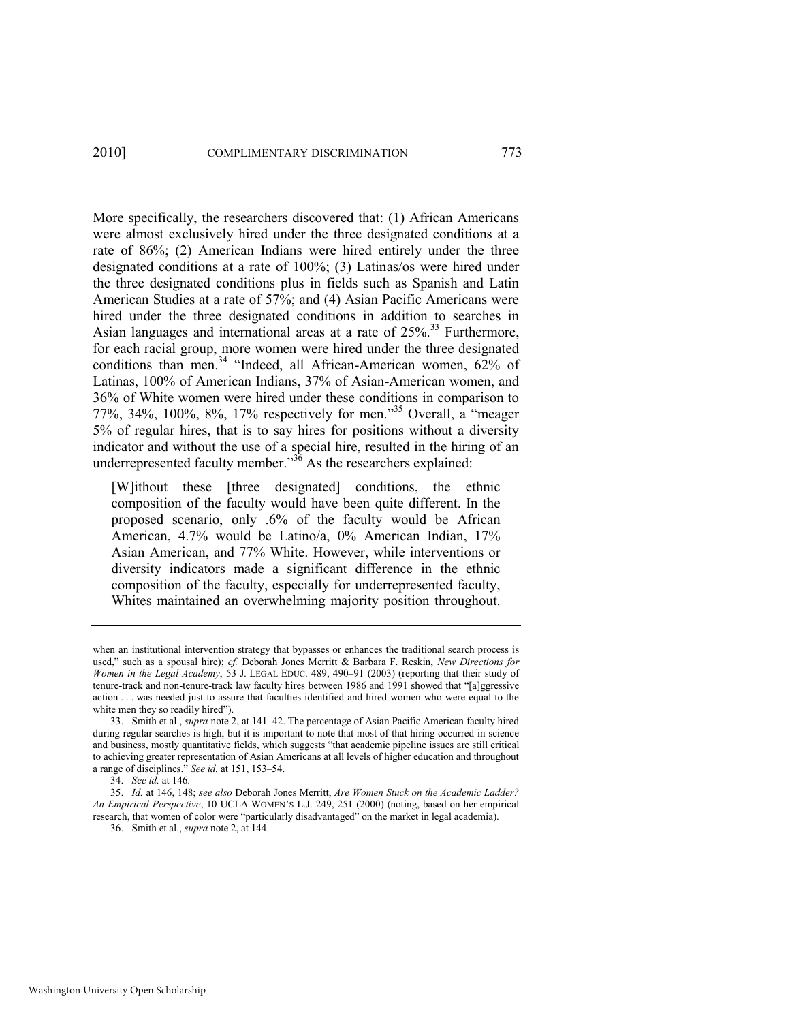More specifically, the researchers discovered that: (1) African Americans were almost exclusively hired under the three designated conditions at a rate of 86%; (2) American Indians were hired entirely under the three designated conditions at a rate of 100%; (3) Latinas/os were hired under the three designated conditions plus in fields such as Spanish and Latin American Studies at a rate of 57%; and (4) Asian Pacific Americans were hired under the three designated conditions in addition to searches in Asian languages and international areas at a rate of  $25\%$ <sup>33</sup> Furthermore, for each racial group, more women were hired under the three designated conditions than men.<sup>34</sup> 
"Indeed, all African-American women,  $62\%$  of Latinas, 100% of American Indians, 37% of Asian-American women, and 36% of White women were hired under these conditions in comparison to 77%, 34%, 100%, 8%, 17% respectively for men."<sup>35</sup> Overall, a "meager 5% of regular hires, that is to say hires for positions without a diversity indicator and without the use of a special hire, resulted in the hiring of an underrepresented faculty member.<sup>356</sup> As the researchers explained:

<span id="page-12-0"></span>[W]ithout these [three designated] conditions, the ethnic composition of the faculty would have been quite different. In the proposed scenario, only .6% of the faculty would be African American, 4.7% would be Latino/a, 0% American Indian, 17% Asian American, and 77% White. However, while interventions or diversity indicators made a significant difference in the ethnic composition of the faculty, especially for underrepresented faculty, Whites maintained an overwhelming majority position throughout.

when an institutional intervention strategy that bypasses or enhances the traditional search process is used," such as a spousal hire); cf. Deborah Jones Merritt & Barbara F. Reskin, *New Directions for Women in the Legal Academy*, 53 J. LEGAL EDUC. 489, 490–91 (2003) (reporting that their study of tenure-track and non-tenure-track law faculty hires between 1986 and 1991 showed that "[a]ggressive action . . . was needed just to assure that faculties identified and hired women who were equal to the white men they so readily hired").

<sup>33.</sup> Smith et al., *supra* not[e 2,](#page-4-0) at 141–42. The percentage of Asian Pacific American faculty hired during regular searches is high, but it is important to note that most of that hiring occurred in science and business, mostly quantitative fields, which suggests "that academic pipeline issues are still critical to achieving greater representation of Asian Americans at all levels of higher education and throughout a range of disciplines." See id. at 151, 153-54.

<sup>34.</sup> *See id.* at 146.

<sup>35.</sup> *Id.* at 146, 148; *see also* Deborah Jones Merritt, *Are Women Stuck on the Academic Ladder? An Empirical Perspective*, 10 UCLA WOMEN'S L.J. 249, 251 (2000) (noting, based on her empirical research, that women of color were "particularly disadvantaged" on the market in legal academia).

<sup>36.</sup> Smith et al., *supra* not[e 2,](#page-4-0) at 144.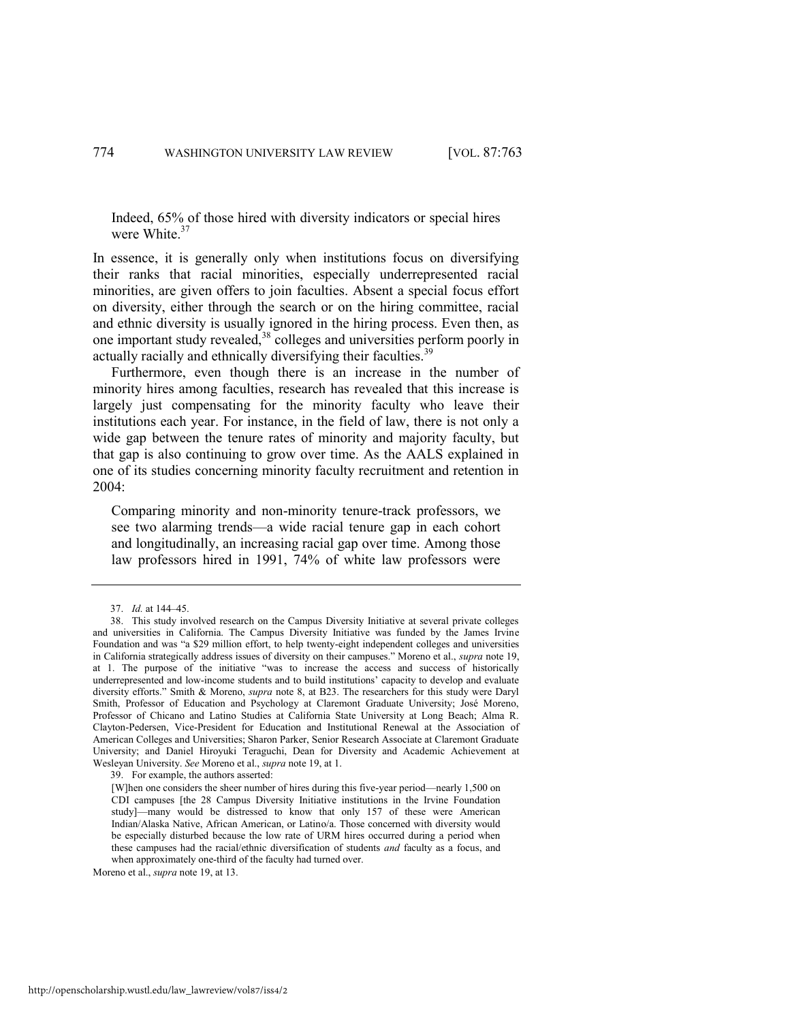Indeed, 65% of those hired with diversity indicators or special hires were White.<sup>37</sup>

In essence, it is generally only when institutions focus on diversifying their ranks that racial minorities, especially underrepresented racial minorities, are given offers to join faculties. Absent a special focus effort on diversity, either through the search or on the hiring committee, racial and ethnic diversity is usually ignored in the hiring process. Even then, as one important study revealed,<sup>38</sup> colleges and universities perform poorly in actually racially and ethnically diversifying their faculties.<sup>39</sup>

<span id="page-13-1"></span><span id="page-13-0"></span>Furthermore, even though there is an increase in the number of minority hires among faculties, research has revealed that this increase is largely just compensating for the minority faculty who leave their institutions each year. For instance, in the field of law, there is not only a wide gap between the tenure rates of minority and majority faculty, but that gap is also continuing to grow over time. As the AALS explained in one of its studies concerning minority faculty recruitment and retention in 2004:

Comparing minority and non-minority tenure-track professors, we see two alarming trends—a wide racial tenure gap in each cohort and longitudinally, an increasing racial gap over time. Among those law professors hired in 1991, 74% of white law professors were

<sup>37.</sup> *Id.* at 144–45.

<sup>38.</sup> This study involved research on the Campus Diversity Initiative at several private colleges and universities in California. The Campus Diversity Initiative was funded by the James Irvine Foundation and was "a \$29 million effort, to help twenty-eight independent colleges and universities in California strategically address issues of diversity on their campuses." Moreno et al., *supra* note 19, at 1. The purpose of the initiative "was to increase the access and success of historically underrepresented and low-income students and to build institutions' capacity to develop and evaluate diversity efforts.‖ Smith & Moreno, *supra* note [8,](#page-5-0) at B23. The researchers for this study were Daryl Smith, Professor of Education and Psychology at Claremont Graduate University; José Moreno, Professor of Chicano and Latino Studies at California State University at Long Beach; Alma R. Clayton-Pedersen, Vice-President for Education and Institutional Renewal at the Association of American Colleges and Universities; Sharon Parker, Senior Research Associate at Claremont Graduate University; and Daniel Hiroyuki Teraguchi, Dean for Diversity and Academic Achievement at Wesleyan University. *See* Moreno et al., *supra* not[e 19,](#page-9-0) at 1.

<sup>39.</sup> For example, the authors asserted:

<sup>[</sup>W]hen one considers the sheer number of hires during this five-year period—nearly 1,500 on CDI campuses [the 28 Campus Diversity Initiative institutions in the Irvine Foundation study]—many would be distressed to know that only 157 of these were American Indian/Alaska Native, African American, or Latino/a. Those concerned with diversity would be especially disturbed because the low rate of URM hires occurred during a period when these campuses had the racial/ethnic diversification of students *and* faculty as a focus, and when approximately one-third of the faculty had turned over.

Moreno et al., *supra* note [19,](#page-9-0) at 13.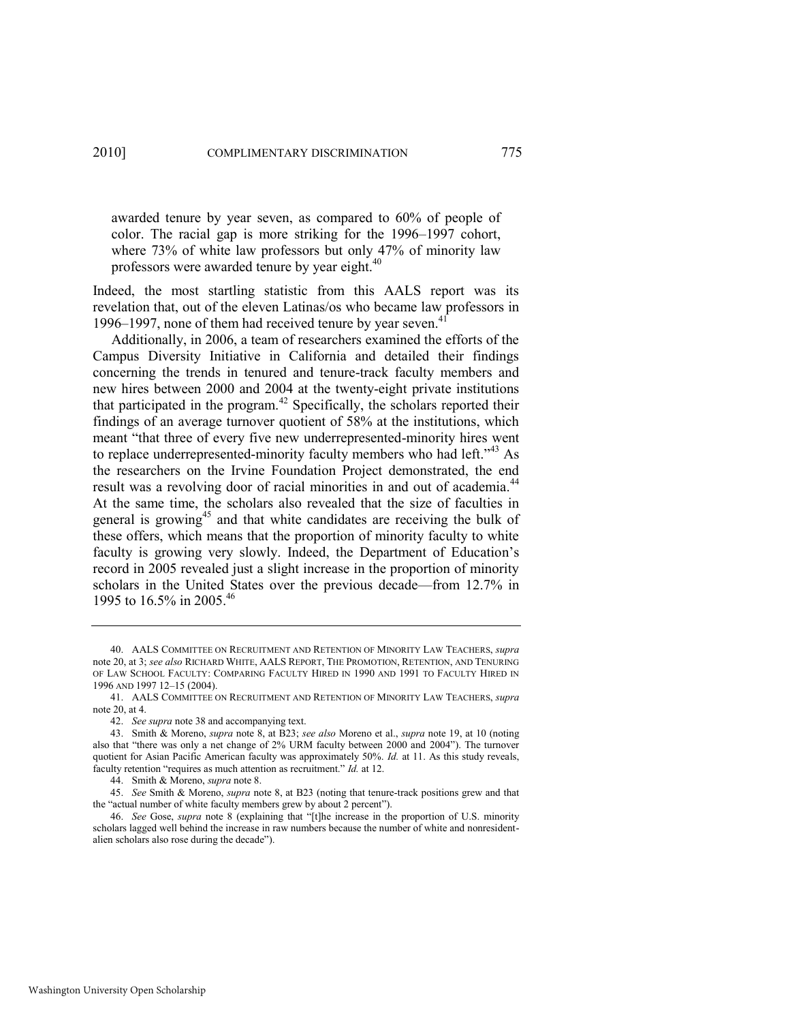awarded tenure by year seven, as compared to 60% of people of color. The racial gap is more striking for the 1996–1997 cohort, where 73% of white law professors but only 47% of minority law professors were awarded tenure by year eight.<sup>40</sup>

Indeed, the most startling statistic from this AALS report was its revelation that, out of the eleven Latinas/os who became law professors in 1996–1997, none of them had received tenure by year seven. $41$ 

Additionally, in 2006, a team of researchers examined the efforts of the Campus Diversity Initiative in California and detailed their findings concerning the trends in tenured and tenure-track faculty members and new hires between 2000 and 2004 at the twenty-eight private institutions that participated in the program. $42$  Specifically, the scholars reported their findings of an average turnover quotient of 58% at the institutions, which meant "that three of every five new underrepresented-minority hires went to replace underrepresented-minority faculty members who had left. $143$  As the researchers on the Irvine Foundation Project demonstrated, the end result was a revolving door of racial minorities in and out of academia.<sup>44</sup> At the same time, the scholars also revealed that the size of faculties in general is growing<sup>45</sup> and that white candidates are receiving the bulk of these offers, which means that the proportion of minority faculty to white faculty is growing very slowly. Indeed, the Department of Education's record in 2005 revealed just a slight increase in the proportion of minority scholars in the United States over the previous decade—from 12.7% in 1995 to 16.5% in 2005.<sup>46</sup>

<sup>40.</sup> AALS COMMITTEE ON RECRUITMENT AND RETENTION OF MINORITY LAW TEACHERS, *supra* note [20,](#page-9-1) at 3; *see also* RICHARD WHITE, AALS REPORT, THE PROMOTION, RETENTION, AND TENURING OF LAW SCHOOL FACULTY: COMPARING FACULTY HIRED IN 1990 AND 1991 TO FACULTY HIRED IN 1996 AND 1997 12–15 (2004).

<sup>41.</sup> AALS COMMITTEE ON RECRUITMENT AND RETENTION OF MINORITY LAW TEACHERS, *supra* note [20,](#page-9-1) at 4.

<sup>42.</sup> *See supra* not[e 38 a](#page-13-0)nd accompanying text.

<sup>43.</sup> Smith & Moreno, *supra* not[e 8,](#page-5-0) at B23; *see also* Moreno et al., *supra* note [19,](#page-9-0) at 10 (noting also that "there was only a net change of 2% URM faculty between 2000 and 2004"). The turnover quotient for Asian Pacific American faculty was approximately 50%. *Id.* at 11. As this study reveals, faculty retention "requires as much attention as recruitment." *Id.* at 12.

<sup>44.</sup> Smith & Moreno, *supra* not[e 8.](#page-5-0) 

<sup>45.</sup> *See* Smith & Moreno, *supra* note [8,](#page-5-0) at B23 (noting that tenure-track positions grew and that the "actual number of white faculty members grew by about 2 percent").

<sup>46.</sup> *See* Gose, *supra* note [8](#page-5-0) (explaining that "[t]he increase in the proportion of U.S. minority scholars lagged well behind the increase in raw numbers because the number of white and nonresidentalien scholars also rose during the decade").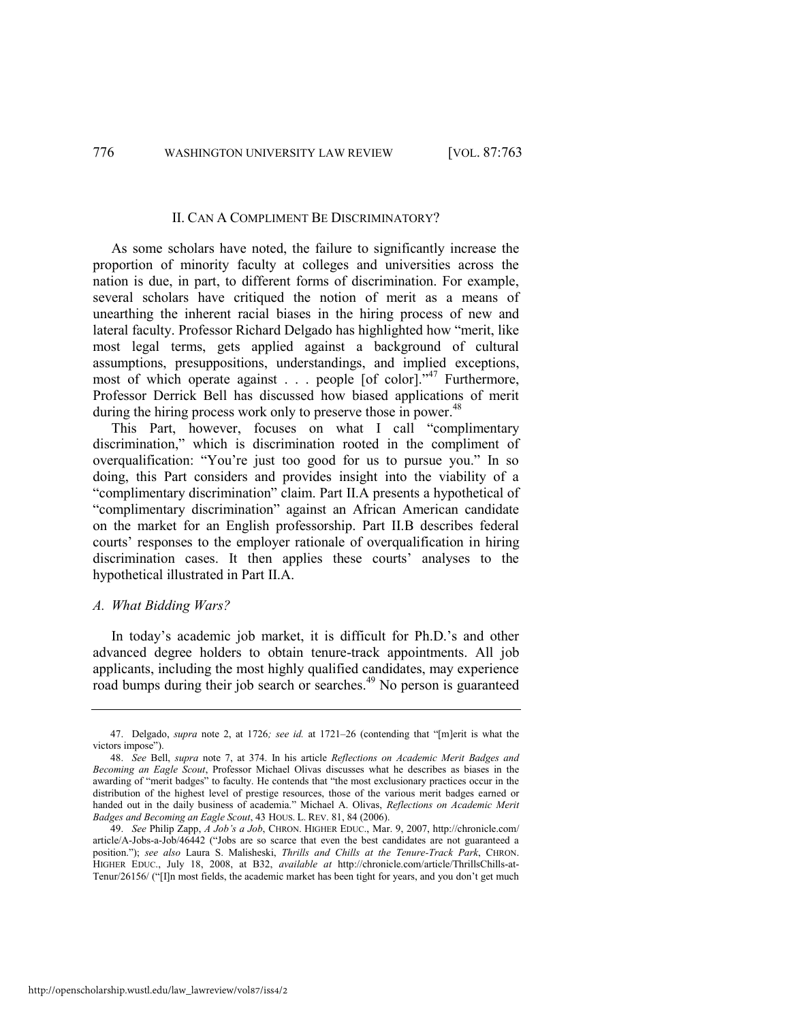#### II. CAN A COMPLIMENT BE DISCRIMINATORY?

As some scholars have noted, the failure to significantly increase the proportion of minority faculty at colleges and universities across the nation is due, in part, to different forms of discrimination. For example, several scholars have critiqued the notion of merit as a means of unearthing the inherent racial biases in the hiring process of new and lateral faculty. Professor Richard Delgado has highlighted how "merit, like most legal terms, gets applied against a background of cultural assumptions, presuppositions, understandings, and implied exceptions, most of which operate against . . . people [of color]."<sup>47</sup> Furthermore, Professor Derrick Bell has discussed how biased applications of merit during the hiring process work only to preserve those in power.<sup>48</sup>

This Part, however, focuses on what I call "complimentary discrimination," which is discrimination rooted in the compliment of overqualification: "You're just too good for us to pursue you." In so doing, this Part considers and provides insight into the viability of a ―complimentary discrimination‖ claim. Part II.A presents a hypothetical of ―complimentary discrimination‖ against an African American candidate on the market for an English professorship. Part II.B describes federal courts' responses to the employer rationale of overqualification in hiring discrimination cases. It then applies these courts' analyses to the hypothetical illustrated in Part II.A.

#### *A. What Bidding Wars?*

In today's academic job market, it is difficult for Ph.D.'s and other advanced degree holders to obtain tenure-track appointments. All job applicants, including the most highly qualified candidates, may experience road bumps during their job search or searches.<sup>49</sup> No person is guaranteed

<span id="page-15-0"></span><sup>47.</sup> Delgado, *supra* note [2,](#page-4-0) at 1726; see id. at 1721-26 (contending that "[m]erit is what the victors impose").

<sup>48.</sup> *See* Bell, *supra* note [7,](#page-5-1) at 374. In his article *Reflections on Academic Merit Badges and Becoming an Eagle Scout*, Professor Michael Olivas discusses what he describes as biases in the awarding of "merit badges" to faculty. He contends that "the most exclusionary practices occur in the distribution of the highest level of prestige resources, those of the various merit badges earned or handed out in the daily business of academia." Michael A. Olivas, *Reflections on Academic Merit Badges and Becoming an Eagle Scout*, 43 HOUS. L. REV. 81, 84 (2006).

<sup>49.</sup> *See* Philip Zapp, *A Job"s a Job*, CHRON. HIGHER EDUC., Mar. 9, 2007, http://chronicle.com/ article/A-Jobs-a-Job/46442 ("Jobs are so scarce that even the best candidates are not guaranteed a position.‖); *see also* Laura S. Malisheski, *Thrills and Chills at the Tenure-Track Park*, CHRON. HIGHER EDUC., July 18, 2008, at B32, *available at* http://chronicle.com/article/ThrillsChills-at-Tenur/26156/ ("II]n most fields, the academic market has been tight for years, and you don't get much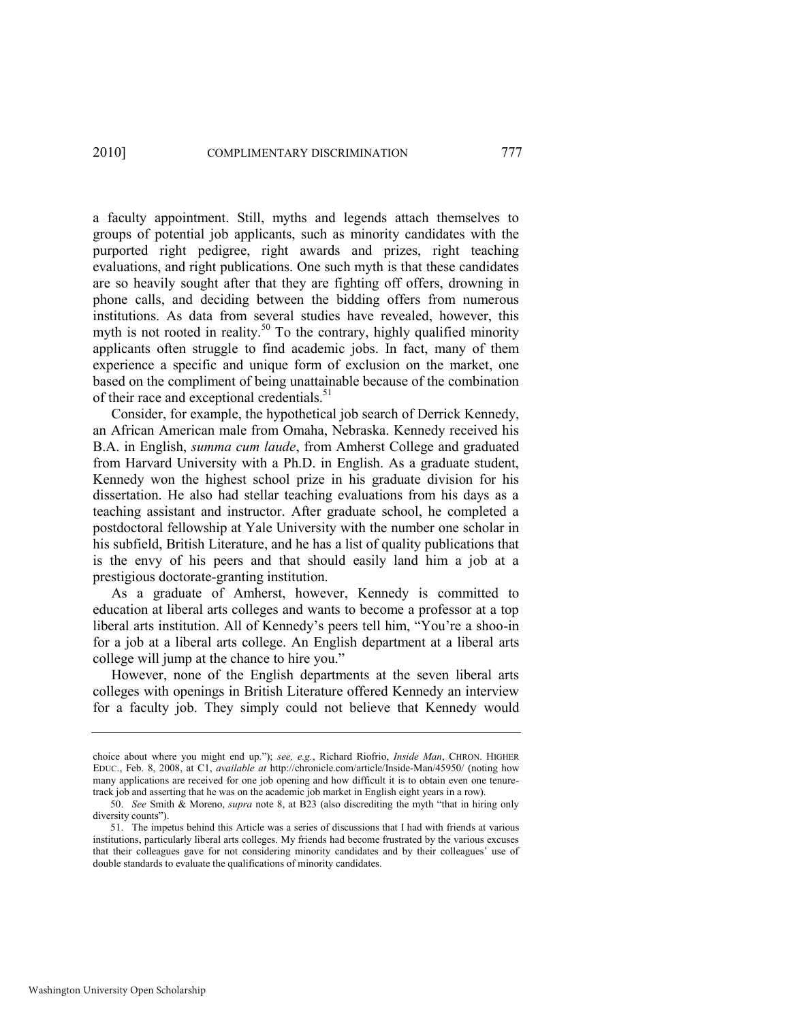a faculty appointment. Still, myths and legends attach themselves to groups of potential job applicants, such as minority candidates with the purported right pedigree, right awards and prizes, right teaching evaluations, and right publications. One such myth is that these candidates are so heavily sought after that they are fighting off offers, drowning in phone calls, and deciding between the bidding offers from numerous institutions. As data from several studies have revealed, however, this myth is not rooted in reality.<sup>50</sup> To the contrary, highly qualified minority applicants often struggle to find academic jobs. In fact, many of them experience a specific and unique form of exclusion on the market, one based on the compliment of being unattainable because of the combination of their race and exceptional credentials.<sup>51</sup>

Consider, for example, the hypothetical job search of Derrick Kennedy, an African American male from Omaha, Nebraska. Kennedy received his B.A. in English, *summa cum laude*, from Amherst College and graduated from Harvard University with a Ph.D. in English. As a graduate student, Kennedy won the highest school prize in his graduate division for his dissertation. He also had stellar teaching evaluations from his days as a teaching assistant and instructor. After graduate school, he completed a postdoctoral fellowship at Yale University with the number one scholar in his subfield, British Literature, and he has a list of quality publications that is the envy of his peers and that should easily land him a job at a prestigious doctorate-granting institution.

As a graduate of Amherst, however, Kennedy is committed to education at liberal arts colleges and wants to become a professor at a top liberal arts institution. All of Kennedy's peers tell him, "You're a shoo-in for a job at a liberal arts college. An English department at a liberal arts college will jump at the chance to hire you."

However, none of the English departments at the seven liberal arts colleges with openings in British Literature offered Kennedy an interview for a faculty job. They simply could not believe that Kennedy would

choice about where you might end up.‖); *see, e.g.*, Richard Riofrio, *Inside Man*, CHRON. HIGHER EDUC., Feb. 8, 2008, at C1, *available at* http://chronicle.com/article/Inside-Man/45950/ (noting how many applications are received for one job opening and how difficult it is to obtain even one tenuretrack job and asserting that he was on the academic job market in English eight years in a row).

<sup>50.</sup> *See* Smith & Moreno, *supra* note [8,](#page-5-0) at B23 (also discrediting the myth "that in hiring only diversity counts").

<sup>51.</sup> The impetus behind this Article was a series of discussions that I had with friends at various institutions, particularly liberal arts colleges. My friends had become frustrated by the various excuses that their colleagues gave for not considering minority candidates and by their colleagues' use of double standards to evaluate the qualifications of minority candidates.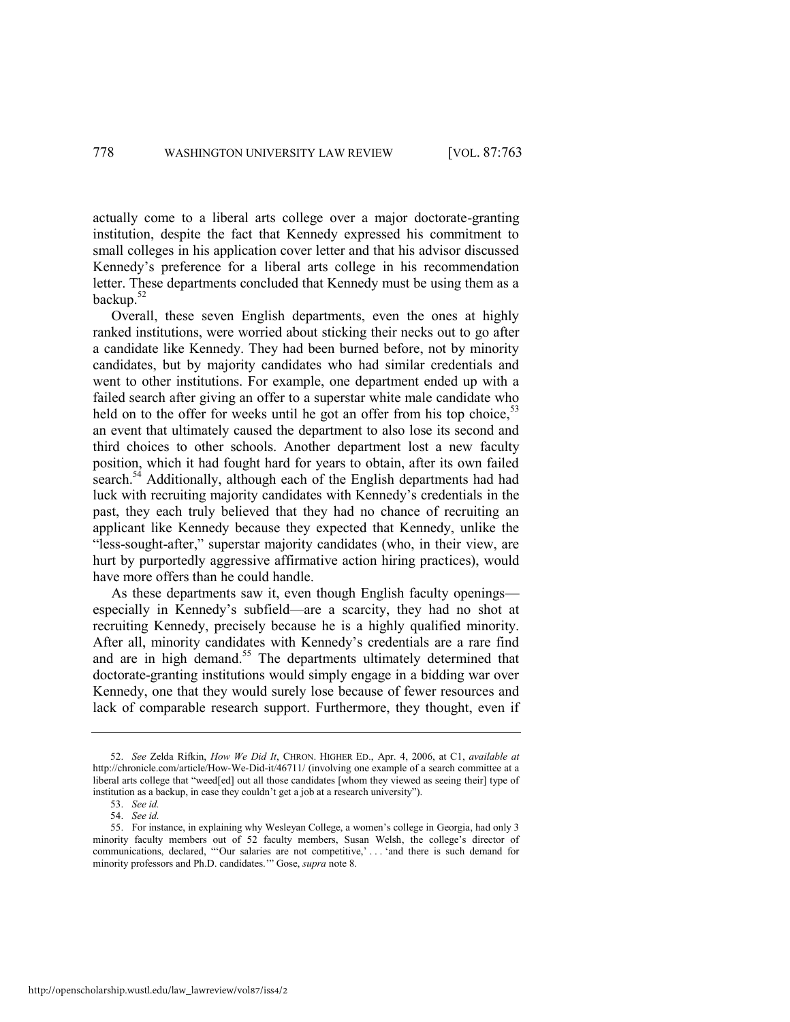actually come to a liberal arts college over a major doctorate-granting institution, despite the fact that Kennedy expressed his commitment to small colleges in his application cover letter and that his advisor discussed Kennedy's preference for a liberal arts college in his recommendation letter. These departments concluded that Kennedy must be using them as a backup.<sup>52</sup>

<span id="page-17-0"></span>Overall, these seven English departments, even the ones at highly ranked institutions, were worried about sticking their necks out to go after a candidate like Kennedy. They had been burned before, not by minority candidates, but by majority candidates who had similar credentials and went to other institutions. For example, one department ended up with a failed search after giving an offer to a superstar white male candidate who held on to the offer for weeks until he got an offer from his top choice.<sup>53</sup> an event that ultimately caused the department to also lose its second and third choices to other schools. Another department lost a new faculty position, which it had fought hard for years to obtain, after its own failed search.<sup>54</sup> Additionally, although each of the English departments had had luck with recruiting majority candidates with Kennedy's credentials in the past, they each truly believed that they had no chance of recruiting an applicant like Kennedy because they expected that Kennedy, unlike the "less-sought-after," superstar majority candidates (who, in their view, are hurt by purportedly aggressive affirmative action hiring practices), would have more offers than he could handle.

As these departments saw it, even though English faculty openings especially in Kennedy's subfield—are a scarcity, they had no shot at recruiting Kennedy, precisely because he is a highly qualified minority. After all, minority candidates with Kennedy's credentials are a rare find and are in high demand.<sup>55</sup> The departments ultimately determined that doctorate-granting institutions would simply engage in a bidding war over Kennedy, one that they would surely lose because of fewer resources and lack of comparable research support. Furthermore, they thought, even if

<sup>52.</sup> *See* Zelda Rifkin, *How We Did It*, CHRON. HIGHER ED., Apr. 4, 2006, at C1, *available at* http://chronicle.com/article/How-We-Did-it/46711/ (involving one example of a search committee at a liberal arts college that "weed[ed] out all those candidates [whom they viewed as seeing their] type of institution as a backup, in case they couldn't get a job at a research university").

<sup>53.</sup> *See id.*

<sup>54.</sup> *See id.*

<sup>55.</sup> For instance, in explaining why Wesleyan College, a women's college in Georgia, had only 3 minority faculty members out of 52 faculty members, Susan Welsh, the college's director of communications, declared, "Our salaries are not competitive,'... 'and there is such demand for minority professors and Ph.D. candidates." Gose, *supra* note 8.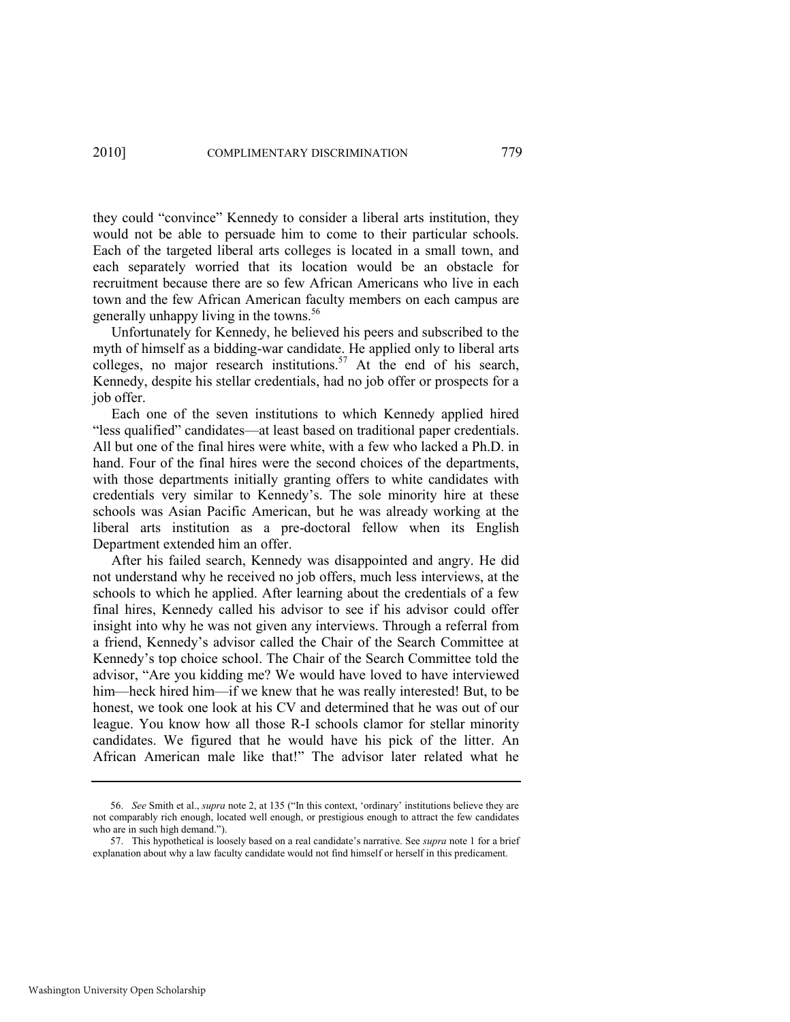they could "convince" Kennedy to consider a liberal arts institution, they would not be able to persuade him to come to their particular schools. Each of the targeted liberal arts colleges is located in a small town, and each separately worried that its location would be an obstacle for recruitment because there are so few African Americans who live in each town and the few African American faculty members on each campus are generally unhappy living in the towns.<sup>56</sup>

Unfortunately for Kennedy, he believed his peers and subscribed to the myth of himself as a bidding-war candidate. He applied only to liberal arts colleges, no major research institutions.<sup>57</sup> At the end of his search, Kennedy, despite his stellar credentials, had no job offer or prospects for a job offer.

Each one of the seven institutions to which Kennedy applied hired "less qualified" candidates—at least based on traditional paper credentials. All but one of the final hires were white, with a few who lacked a Ph.D. in hand. Four of the final hires were the second choices of the departments, with those departments initially granting offers to white candidates with credentials very similar to Kennedy's. The sole minority hire at these schools was Asian Pacific American, but he was already working at the liberal arts institution as a pre-doctoral fellow when its English Department extended him an offer.

After his failed search, Kennedy was disappointed and angry. He did not understand why he received no job offers, much less interviews, at the schools to which he applied. After learning about the credentials of a few final hires, Kennedy called his advisor to see if his advisor could offer insight into why he was not given any interviews. Through a referral from a friend, Kennedy's advisor called the Chair of the Search Committee at Kennedy's top choice school. The Chair of the Search Committee told the advisor, "Are you kidding me? We would have loved to have interviewed him—heck hired him—if we knew that he was really interested! But, to be honest, we took one look at his CV and determined that he was out of our league. You know how all those R-I schools clamor for stellar minority candidates. We figured that he would have his pick of the litter. An African American male like that!" The advisor later related what he

<sup>56.</sup> *See* Smith et al., *supra* note [2](#page-4-0), at 135 ("In this context, 'ordinary' institutions believe they are not comparably rich enough, located well enough, or prestigious enough to attract the few candidates who are in such high demand.").

<sup>57.</sup> This hypothetical is loosely based on a real candidate's narrative. See *supra* not[e 1](#page-3-0) for a brief explanation about why a law faculty candidate would not find himself or herself in this predicament.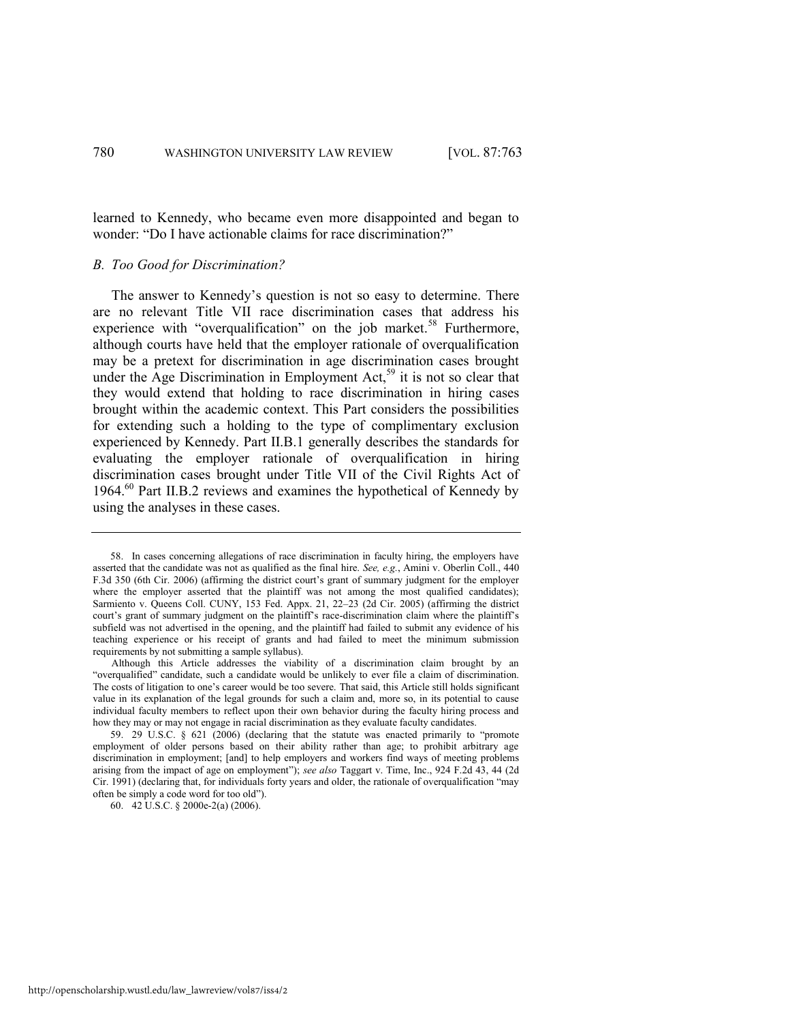learned to Kennedy, who became even more disappointed and began to wonder: "Do I have actionable claims for race discrimination?"

#### *B. Too Good for Discrimination?*

The answer to Kennedy's question is not so easy to determine. There are no relevant Title VII race discrimination cases that address his experience with "overqualification" on the job market.<sup>58</sup> Furthermore, although courts have held that the employer rationale of overqualification may be a pretext for discrimination in age discrimination cases brought under the Age Discrimination in Employment Act,<sup>59</sup> it is not so clear that they would extend that holding to race discrimination in hiring cases brought within the academic context. This Part considers the possibilities for extending such a holding to the type of complimentary exclusion experienced by Kennedy. Part II.B.1 generally describes the standards for evaluating the employer rationale of overqualification in hiring discrimination cases brought under Title VII of the Civil Rights Act of 1964.<sup>60</sup> Part II.B.2 reviews and examines the hypothetical of Kennedy by using the analyses in these cases.

<sup>58.</sup> In cases concerning allegations of race discrimination in faculty hiring, the employers have asserted that the candidate was not as qualified as the final hire. *See, e.g.*, Amini v. Oberlin Coll., 440 F.3d 350 (6th Cir. 2006) (affirming the district court's grant of summary judgment for the employer where the employer asserted that the plaintiff was not among the most qualified candidates); Sarmiento v. Queens Coll. CUNY, 153 Fed. Appx. 21, 22–23 (2d Cir. 2005) (affirming the district court's grant of summary judgment on the plaintiff's race-discrimination claim where the plaintiff's subfield was not advertised in the opening, and the plaintiff had failed to submit any evidence of his teaching experience or his receipt of grants and had failed to meet the minimum submission requirements by not submitting a sample syllabus).

Although this Article addresses the viability of a discrimination claim brought by an ―overqualified‖ candidate, such a candidate would be unlikely to ever file a claim of discrimination. The costs of litigation to one's career would be too severe. That said, this Article still holds significant value in its explanation of the legal grounds for such a claim and, more so, in its potential to cause individual faculty members to reflect upon their own behavior during the faculty hiring process and how they may or may not engage in racial discrimination as they evaluate faculty candidates.

<sup>59. 29</sup> U.S.C.  $\S$  621 (2006) (declaring that the statute was enacted primarily to "promote employment of older persons based on their ability rather than age; to prohibit arbitrary age discrimination in employment; [and] to help employers and workers find ways of meeting problems arising from the impact of age on employment‖); *see also* Taggart v. Time, Inc., 924 F.2d 43, 44 (2d Cir. 1991) (declaring that, for individuals forty years and older, the rationale of overqualification "may often be simply a code word for too old").

<sup>60. 42</sup> U.S.C. § 2000e-2(a) (2006).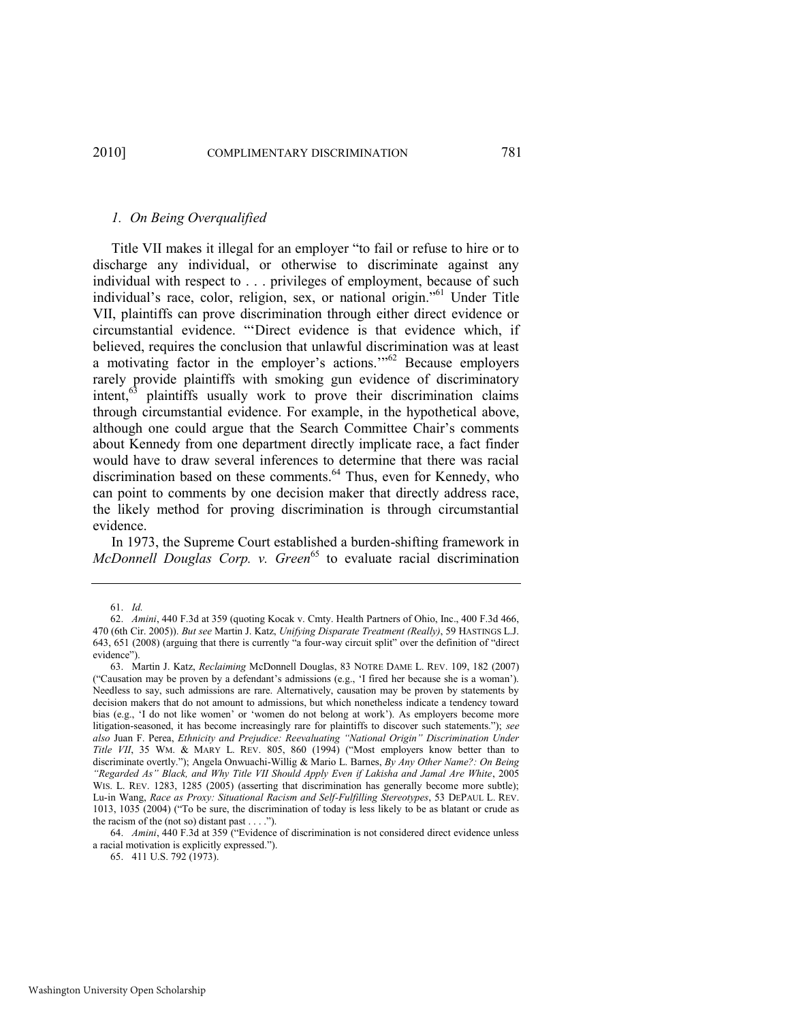#### *1. On Being Overqualified*

<span id="page-20-0"></span>Title VII makes it illegal for an employer "to fail or refuse to hire or to discharge any individual, or otherwise to discriminate against any individual with respect to . . . privileges of employment, because of such individual's race, color, religion, sex, or national origin."<sup>61</sup> Under Title VII, plaintiffs can prove discrimination through either direct evidence or circumstantial evidence. "Direct evidence is that evidence which, if believed, requires the conclusion that unlawful discrimination was at least a motivating factor in the employer's actions. $m<sup>62</sup>$  Because employers rarely provide plaintiffs with smoking gun evidence of discriminatory intent,<sup>63</sup> plaintiffs usually work to prove their discrimination claims through circumstantial evidence. For example, in the hypothetical above, although one could argue that the Search Committee Chair's comments about Kennedy from one department directly implicate race, a fact finder would have to draw several inferences to determine that there was racial discrimination based on these comments.<sup>64</sup> Thus, even for Kennedy, who can point to comments by one decision maker that directly address race, the likely method for proving discrimination is through circumstantial evidence.

In 1973, the Supreme Court established a burden-shifting framework in *McDonnell Douglas Corp. v. Green<sup>65</sup>* to evaluate racial discrimination

64. *Amini*, 440 F.3d at 359 ("Evidence of discrimination is not considered direct evidence unless a racial motivation is explicitly expressed.").

65. 411 U.S. 792 (1973).

<sup>61.</sup> *Id.*

<sup>62.</sup> *Amini*, 440 F.3d at 359 (quoting Kocak v. Cmty. Health Partners of Ohio, Inc., 400 F.3d 466, 470 (6th Cir. 2005)). *But see* Martin J. Katz, *Unifying Disparate Treatment (Really)*, 59 HASTINGS L.J. 643, 651 (2008) (arguing that there is currently "a four-way circuit split" over the definition of "direct" evidence").

<sup>63.</sup> Martin J. Katz, *Reclaiming* McDonnell Douglas, 83 NOTRE DAME L. REV. 109, 182 (2007) (―Causation may be proven by a defendant's admissions (e.g., ‗I fired her because she is a woman'). Needless to say, such admissions are rare. Alternatively, causation may be proven by statements by decision makers that do not amount to admissions, but which nonetheless indicate a tendency toward bias (e.g., 'I do not like women' or 'women do not belong at work'). As employers become more litigation-seasoned, it has become increasingly rare for plaintiffs to discover such statements."); *see also* Juan F. Perea, *Ethnicity and Prejudice: Reevaluating "National Origin" Discrimination Under Title VII*, 35 WM. & MARY L. REV. 805, 860 (1994) ("Most employers know better than to discriminate overtly.‖); Angela Onwuachi-Willig & Mario L. Barnes, *By Any Other Name?: On Being "Regarded As" Black, and Why Title VII Should Apply Even if Lakisha and Jamal Are White*, 2005 WIS. L. REV. 1283, 1285 (2005) (asserting that discrimination has generally become more subtle); Lu-in Wang, *Race as Proxy: Situational Racism and Self-Fulfilling Stereotypes*, 53 DEPAUL L. REV. 1013, 1035 (2004) ("To be sure, the discrimination of today is less likely to be as blatant or crude as the racism of the (not so) distant past  $\dots$ .").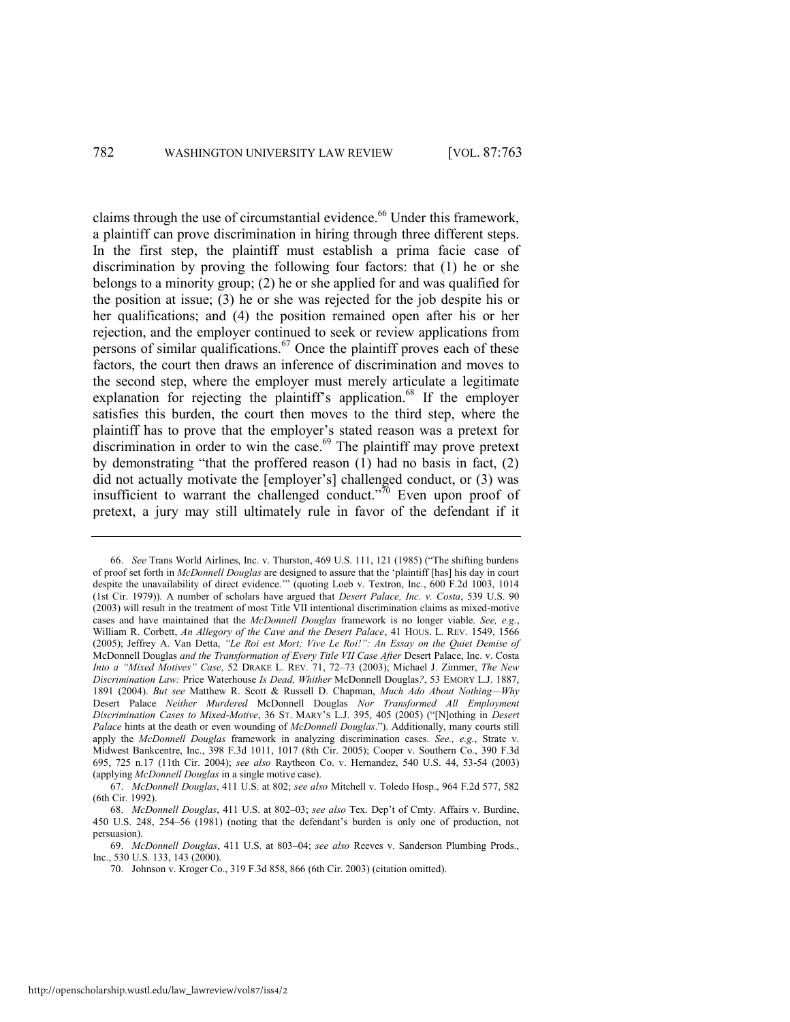claims through the use of circumstantial evidence.<sup>66</sup> Under this framework, a plaintiff can prove discrimination in hiring through three different steps. In the first step, the plaintiff must establish a prima facie case of discrimination by proving the following four factors: that (1) he or she belongs to a minority group; (2) he or she applied for and was qualified for the position at issue; (3) he or she was rejected for the job despite his or her qualifications; and (4) the position remained open after his or her rejection, and the employer continued to seek or review applications from persons of similar qualifications.<sup>67</sup> Once the plaintiff proves each of these factors, the court then draws an inference of discrimination and moves to the second step, where the employer must merely articulate a legitimate explanation for rejecting the plaintiff's application.<sup>68</sup> If the employer satisfies this burden, the court then moves to the third step, where the plaintiff has to prove that the employer's stated reason was a pretext for discrimination in order to win the case. $69$  The plaintiff may prove pretext by demonstrating "that the proffered reason  $(1)$  had no basis in fact,  $(2)$ did not actually motivate the [employer's] challenged conduct, or (3) was insufficient to warrant the challenged conduct. $170$  Even upon proof of pretext, a jury may still ultimately rule in favor of the defendant if it

<sup>66.</sup> *See* Trans World Airlines, Inc. v. Thurston, 469 U.S. 111, 121 (1985) ("The shifting burdens of proof set forth in *McDonnell Douglas* are designed to assure that the ‗plaintiff [has] his day in court despite the unavailability of direct evidence."" (quoting Loeb v. Textron, Inc., 600 F.2d 1003, 1014 (1st Cir. 1979)). A number of scholars have argued that *Desert Palace, Inc. v. Costa*, 539 U.S. 90 (2003) will result in the treatment of most Title VII intentional discrimination claims as mixed-motive cases and have maintained that the *McDonnell Douglas* framework is no longer viable. *See, e.g.*, William R. Corbett, *An Allegory of the Cave and the Desert Palace*, 41 HOUS. L. REV. 1549, 1566 (2005); Jeffrey A. Van Detta, *"Le Roi est Mort; Vive Le Roi!": An Essay on the Quiet Demise of* McDonnell Douglas *and the Transformation of Every Title VII Case After* Desert Palace, Inc. v. Costa *Into a "Mixed Motives" Case*, 52 DRAKE L. REV. 71, 72–73 (2003); Michael J. Zimmer, *The New Discrimination Law:* Price Waterhouse *Is Dead, Whither* McDonnell Douglas*?*, 53 EMORY L.J. 1887, 1891 (2004). *But see* Matthew R. Scott & Russell D. Chapman, *Much Ado About Nothing—Why* Desert Palace *Neither Murdered* McDonnell Douglas *Nor Transformed All Employment Discrimination Cases to Mixed-Motive*, 36 ST. MARY'S L.J. 395, 405 (2005) ("[N]othing in *Desert Palace* hints at the death or even wounding of *McDonnell Douglas*.‖). Additionally, many courts still apply the *McDonnell Douglas* framework in analyzing discrimination cases. *See., e.g.*, Strate v. Midwest Bankcentre, Inc., 398 F.3d 1011, 1017 (8th Cir. 2005); [Cooper v. Southern Co., 390 F.3d](http://web2.westlaw.com/find/default.wl?tf=-1&rs=WLW9.11&referencepositiontype=S&serialnum=2005477537&fn=_top&sv=Split&referenceposition=725&pbc=10E4A925&tc=-1&ordoc=2016453763&findtype=Y&db=506&vr=2.0&rp=%2ffind%2fdefault.wl&mt=208)  [695, 725 n.17 \(11th Cir. 2004\);](http://web2.westlaw.com/find/default.wl?tf=-1&rs=WLW9.11&referencepositiontype=S&serialnum=2005477537&fn=_top&sv=Split&referenceposition=725&pbc=10E4A925&tc=-1&ordoc=2016453763&findtype=Y&db=506&vr=2.0&rp=%2ffind%2fdefault.wl&mt=208) *see also* [Raytheon Co. v. Hernandez, 540 U.S. 44, 53-54 \(2003\)](http://web2.westlaw.com/find/default.wl?tf=-1&rs=WLW9.11&serialnum=2003886975&fn=_top&sv=Split&tc=-1&pbc=10E4A925&ordoc=2016453763&findtype=Y&db=708&vr=2.0&rp=%2ffind%2fdefault.wl&mt=208) (applying *McDonnell Douglas* in a single motive case).

<sup>67.</sup> *McDonnell Douglas*, 411 U.S. at 802; *see also* Mitchell v. Toledo Hosp., 964 F.2d 577, 582 (6th Cir. 1992).

<sup>68.</sup> *McDonnell Douglas*, 411 U.S. at 802–03; *see also* Tex. Dep't of Cmty. Affairs v. Burdine, 450 U.S. 248, 254–56 (1981) (noting that the defendant's burden is only one of production, not persuasion).

<sup>69.</sup> *McDonnell Douglas*, 411 U.S. at 803–04; *see also* Reeves v. Sanderson Plumbing Prods., Inc., 530 U.S. 133, 143 (2000).

<sup>70.</sup> Johnson v. Kroger Co., 319 F.3d 858, 866 (6th Cir. 2003) (citation omitted).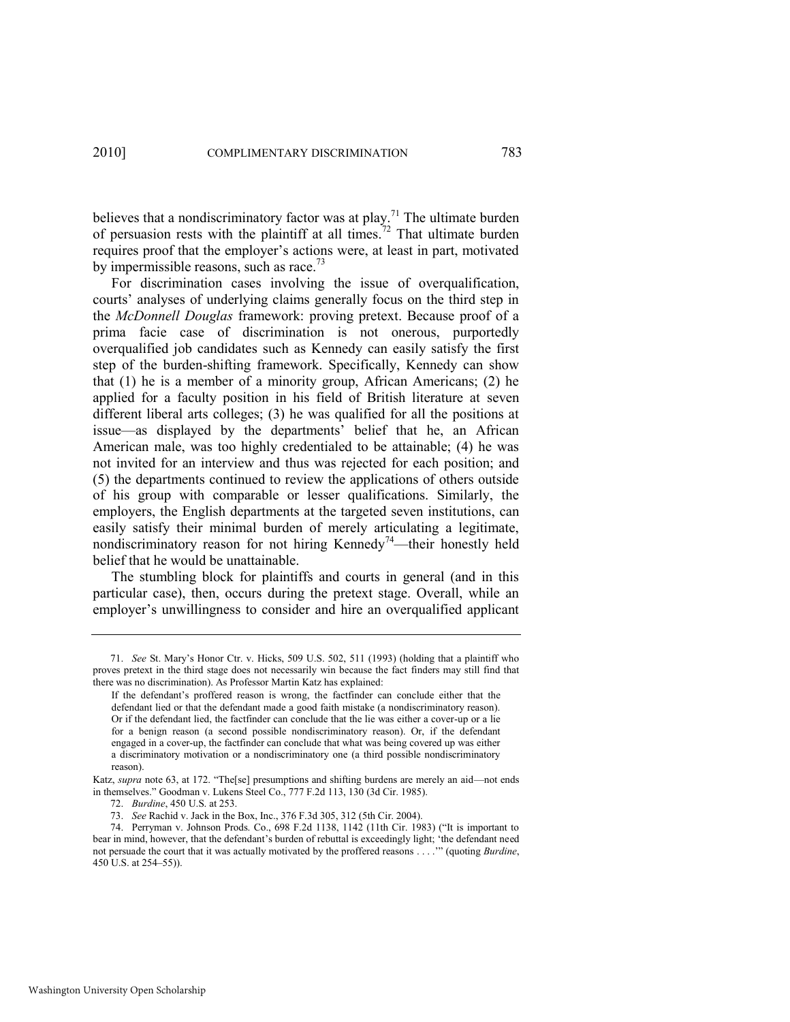believes that a nondiscriminatory factor was at  $play$ .<sup>71</sup> The ultimate burden of persuasion rests with the plaintiff at all times.<sup>72</sup> That ultimate burden requires proof that the employer's actions were, at least in part, motivated by impermissible reasons, such as race.<sup>73</sup>

For discrimination cases involving the issue of overqualification, courts' analyses of underlying claims generally focus on the third step in the *McDonnell Douglas* framework: proving pretext. Because proof of a prima facie case of discrimination is not onerous, purportedly overqualified job candidates such as Kennedy can easily satisfy the first step of the burden-shifting framework. Specifically, Kennedy can show that (1) he is a member of a minority group, African Americans; (2) he applied for a faculty position in his field of British literature at seven different liberal arts colleges; (3) he was qualified for all the positions at issue—as displayed by the departments' belief that he, an African American male, was too highly credentialed to be attainable; (4) he was not invited for an interview and thus was rejected for each position; and (5) the departments continued to review the applications of others outside of his group with comparable or lesser qualifications. Similarly, the employers, the English departments at the targeted seven institutions, can easily satisfy their minimal burden of merely articulating a legitimate, nondiscriminatory reason for not hiring Kennedy<sup>74</sup>—their honestly held belief that he would be unattainable.

The stumbling block for plaintiffs and courts in general (and in this particular case), then, occurs during the pretext stage. Overall, while an employer's unwillingness to consider and hire an overqualified applicant

<sup>71.</sup> *See* St. Mary's Honor Ctr. v. Hicks, 509 U.S. 502, 511 (1993) (holding that a plaintiff who proves pretext in the third stage does not necessarily win because the fact finders may still find that there was no discrimination). As Professor Martin Katz has explained:

If the defendant's proffered reason is wrong, the factfinder can conclude either that the defendant lied or that the defendant made a good faith mistake (a nondiscriminatory reason). Or if the defendant lied, the factfinder can conclude that the lie was either a cover-up or a lie for a benign reason (a second possible nondiscriminatory reason). Or, if the defendant engaged in a cover-up, the factfinder can conclude that what was being covered up was either a discriminatory motivation or a nondiscriminatory one (a third possible nondiscriminatory reason).

Katz, *supra* not[e 63,](#page-20-0) at 172. "The[se] presumptions and shifting burdens are merely an aid—not ends in themselves.‖ Goodman v. Lukens Steel Co., 777 F.2d 113, 130 (3d Cir. 1985).

<sup>72.</sup> *Burdine*, 450 U.S. at 253.

<sup>73.</sup> *See* Rachid v. Jack in the Box, Inc., 376 F.3d 305, 312 (5th Cir. 2004).

<sup>74.</sup> Perryman v. Johnson Prods. Co., 698 F.2d 1138, 1142 (11th Cir. 1983) ("It is important to bear in mind, however, that the defendant's burden of rebuttal is exceedingly light; 'the defendant need not persuade the court that it was actually motivated by the proffered reasons . . . .'‖ (quoting *Burdine*, 450 U.S. at 254–55)).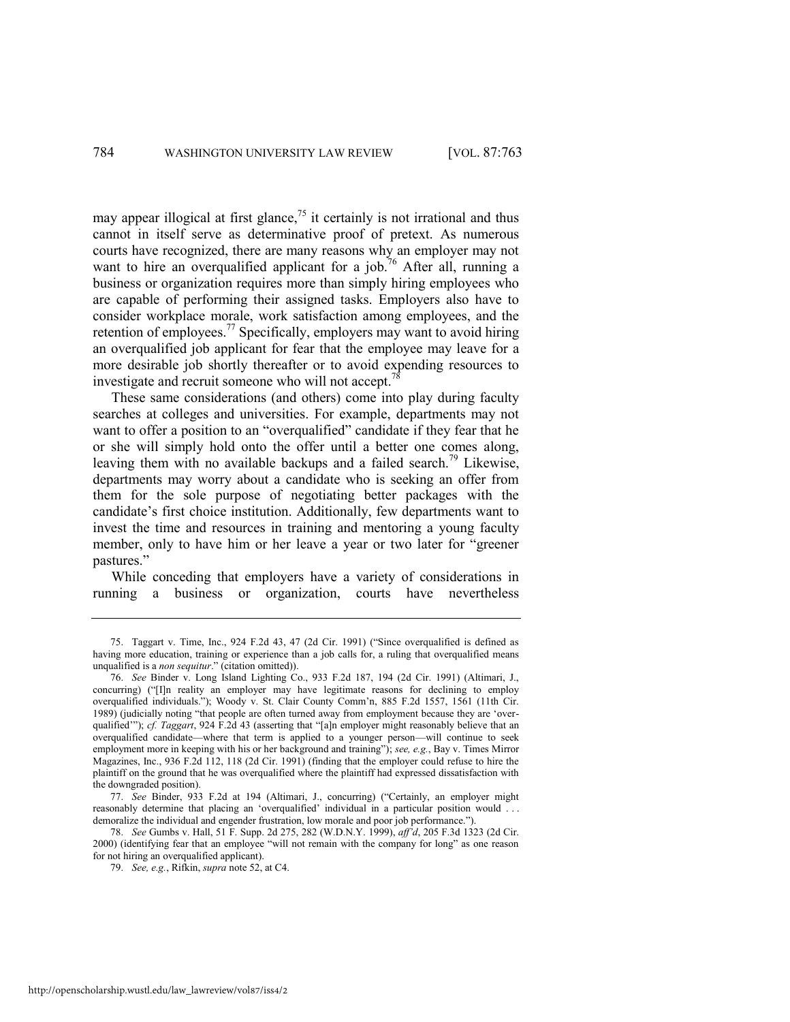may appear illogical at first glance,<sup>75</sup> it certainly is not irrational and thus cannot in itself serve as determinative proof of pretext. As numerous courts have recognized, there are many reasons why an employer may not want to hire an overqualified applicant for a job.<sup>76</sup> After all, running a business or organization requires more than simply hiring employees who are capable of performing their assigned tasks. Employers also have to consider workplace morale, work satisfaction among employees, and the retention of employees.<sup>77</sup> Specifically, employers may want to avoid hiring an overqualified job applicant for fear that the employee may leave for a more desirable job shortly thereafter or to avoid expending resources to investigate and recruit someone who will not accept.

<span id="page-23-0"></span>These same considerations (and others) come into play during faculty searches at colleges and universities. For example, departments may not want to offer a position to an "overqualified" candidate if they fear that he or she will simply hold onto the offer until a better one comes along, leaving them with no available backups and a failed search.<sup>79</sup> Likewise, departments may worry about a candidate who is seeking an offer from them for the sole purpose of negotiating better packages with the candidate's first choice institution. Additionally, few departments want to invest the time and resources in training and mentoring a young faculty member, only to have him or her leave a year or two later for "greener" pastures."

While conceding that employers have a variety of considerations in running a business or organization, courts have nevertheless

78. *See* Gumbs v. Hall, 51 F. Supp. 2d 275, 282 (W.D.N.Y. 1999), *aff"d*, 205 F.3d 1323 (2d Cir. 2000) (identifying fear that an employee "will not remain with the company for long" as one reason for not hiring an overqualified applicant).

<sup>75.</sup> Taggart v. Time, Inc., 924 F.2d 43, 47 (2d Cir. 1991) ("Since overqualified is defined as having more education, training or experience than a job calls for, a ruling that overqualified means unqualified is a *non sequitur*." (citation omitted)).

<sup>76.</sup> *See* Binder v. Long Island Lighting Co., 933 F.2d 187, 194 (2d Cir. 1991) (Altimari, J., concurring) ("I]n reality an employer may have legitimate reasons for declining to employ overqualified individuals.‖); Woody v. St. Clair County Comm'n, 885 F.2d 1557, 1561 (11th Cir. 1989) (judicially noting "that people are often turned away from employment because they are 'overqualified'''); *cf. Taggart*, 924 F.2d 43 (asserting that "[a]n employer might reasonably believe that an overqualified candidate—where that term is applied to a younger person—will continue to seek employment more in keeping with his or her background and training"); *see, e.g.*, Bay v. Times Mirror Magazines, Inc., 936 F.2d 112, 118 (2d Cir. 1991) (finding that the employer could refuse to hire the plaintiff on the ground that he was overqualified where the plaintiff had expressed dissatisfaction with the downgraded position).

<sup>77.</sup> *See* Binder, 933 F.2d at 194 (Altimari, J., concurring) ("Certainly, an employer might reasonably determine that placing an 'overqualified' individual in a particular position would ... demoralize the individual and engender frustration, low morale and poor job performance.").

<sup>79.</sup> *See, e.g.*, Rifkin, *supra* not[e 52,](#page-17-0) at C4.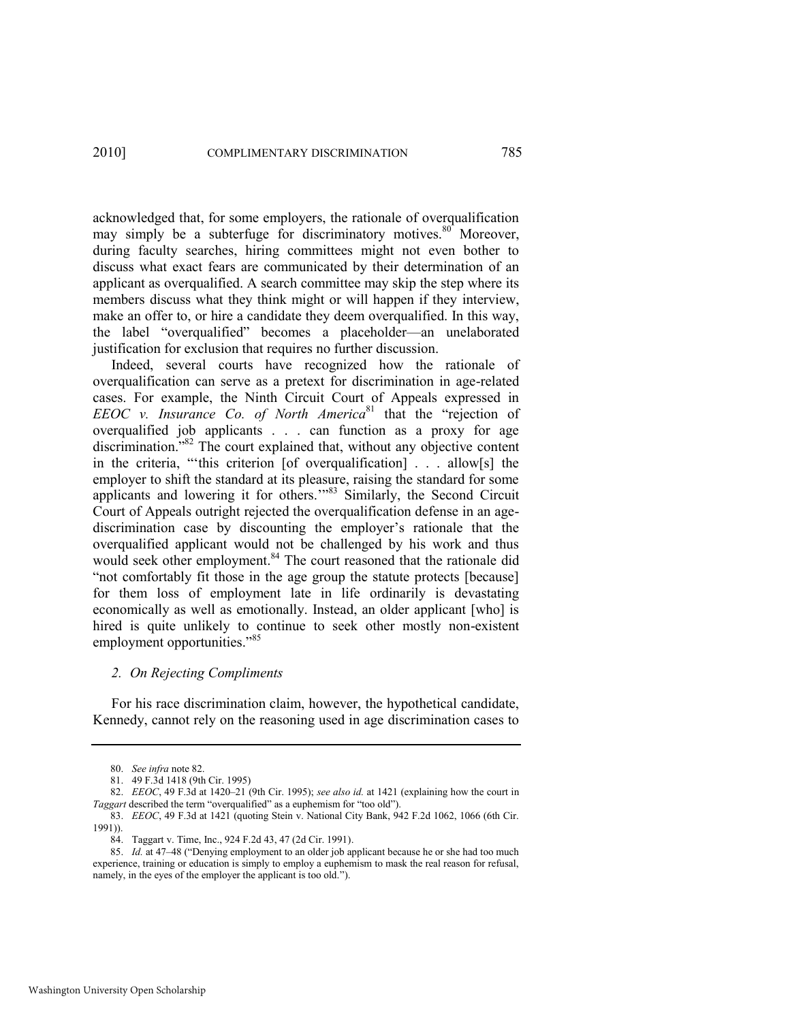acknowledged that, for some employers, the rationale of overqualification may simply be a subterfuge for discriminatory motives.<sup>80</sup> Moreover, during faculty searches, hiring committees might not even bother to discuss what exact fears are communicated by their determination of an applicant as overqualified. A search committee may skip the step where its members discuss what they think might or will happen if they interview, make an offer to, or hire a candidate they deem overqualified. In this way, the label "overqualified" becomes a placeholder—an unelaborated justification for exclusion that requires no further discussion.

<span id="page-24-0"></span>Indeed, several courts have recognized how the rationale of overqualification can serve as a pretext for discrimination in age-related cases. For example, the Ninth Circuit Court of Appeals expressed in *EEOC v. Insurance Co. of North America*<sup>81</sup> that the "rejection of overqualified job applicants . . . can function as a proxy for age discrimination.<sup>82</sup> The court explained that, without any objective content in the criteria, "this criterion  $[of overqualification]$ ... allow $[s]$  the employer to shift the standard at its pleasure, raising the standard for some applicants and lowering it for others.'"<sup>83</sup> Similarly, the Second Circuit Court of Appeals outright rejected the overqualification defense in an agediscrimination case by discounting the employer's rationale that the overqualified applicant would not be challenged by his work and thus would seek other employment.<sup>84</sup> The court reasoned that the rationale did ―not comfortably fit those in the age group the statute protects [because] for them loss of employment late in life ordinarily is devastating economically as well as emotionally. Instead, an older applicant [who] is hired is quite unlikely to continue to seek other mostly non-existent employment opportunities."<sup>85</sup>

#### *2. On Rejecting Compliments*

For his race discrimination claim, however, the hypothetical candidate, Kennedy, cannot rely on the reasoning used in age discrimination cases to

<sup>80.</sup> *See infra* not[e 82.](#page-24-0) 

<sup>81. 49</sup> F.3d 1418 (9th Cir. 1995)

<sup>82.</sup> *EEOC*, 49 F.3d at 1420–21 (9th Cir. 1995); *see also id.* at 1421 (explaining how the court in Taggart described the term "overqualified" as a euphemism for "too old").

<sup>83.</sup> *EEOC*, 49 F.3d at 1421 (quoting Stein v. National City Bank, 942 F.2d 1062, 1066 (6th Cir. 1991)).

<sup>84.</sup> Taggart v. Time, Inc., 924 F.2d 43, 47 (2d Cir. 1991).

<sup>85.</sup> *Id.* at 47–48 ("Denying employment to an older job applicant because he or she had too much experience, training or education is simply to employ a euphemism to mask the real reason for refusal, namely, in the eyes of the employer the applicant is too old.").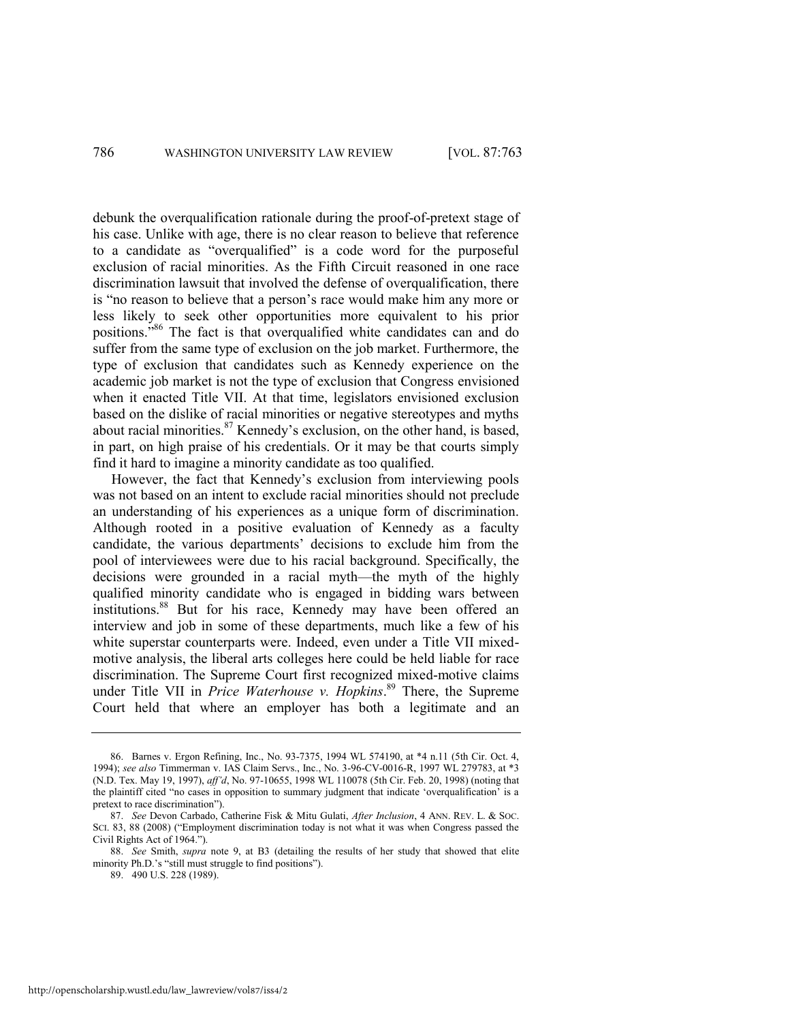debunk the overqualification rationale during the proof-of-pretext stage of his case. Unlike with age, there is no clear reason to believe that reference to a candidate as "overqualified" is a code word for the purposeful exclusion of racial minorities. As the Fifth Circuit reasoned in one race discrimination lawsuit that involved the defense of overqualification, there is "no reason to believe that a person's race would make him any more or less likely to seek other opportunities more equivalent to his prior positions.<sup>86</sup> The fact is that overqualified white candidates can and do suffer from the same type of exclusion on the job market. Furthermore, the type of exclusion that candidates such as Kennedy experience on the academic job market is not the type of exclusion that Congress envisioned when it enacted Title VII. At that time, legislators envisioned exclusion based on the dislike of racial minorities or negative stereotypes and myths about racial minorities.<sup>87</sup> Kennedy's exclusion, on the other hand, is based, in part, on high praise of his credentials. Or it may be that courts simply find it hard to imagine a minority candidate as too qualified.

However, the fact that Kennedy's exclusion from interviewing pools was not based on an intent to exclude racial minorities should not preclude an understanding of his experiences as a unique form of discrimination. Although rooted in a positive evaluation of Kennedy as a faculty candidate, the various departments' decisions to exclude him from the pool of interviewees were due to his racial background. Specifically, the decisions were grounded in a racial myth—the myth of the highly qualified minority candidate who is engaged in bidding wars between institutions.<sup>88</sup> But for his race, Kennedy may have been offered an interview and job in some of these departments, much like a few of his white superstar counterparts were. Indeed, even under a Title VII mixedmotive analysis, the liberal arts colleges here could be held liable for race discrimination. The Supreme Court first recognized mixed-motive claims under Title VII in *Price Waterhouse v. Hopkins*. <sup>89</sup> There, the Supreme Court held that where an employer has both a legitimate and an

<sup>86.</sup> Barnes v. Ergon Refining, Inc., No. 93-7375, 1994 WL 574190, at \*4 n.11 (5th Cir. Oct. 4, 1994); *see also* Timmerman v. IAS Claim Servs., Inc., No. 3-96-CV-0016-R, 1997 WL 279783, at \*3 (N.D. Tex. May 19, 1997), *aff"d*, No. 97-10655, 1998 WL 110078 (5th Cir. Feb. 20, 1998) (noting that the plaintiff cited "no cases in opposition to summary judgment that indicate 'overqualification' is a pretext to race discrimination").

<sup>87.</sup> *See* Devon Carbado, Catherine Fisk & Mitu Gulati, *After Inclusion*, 4 ANN. REV. L. & SOC. SCI. 83, 88 (2008) ("Employment discrimination today is not what it was when Congress passed the Civil Rights Act of 1964.").

<sup>88.</sup> *See* Smith, *supra* note [9,](#page-6-0) at B3 (detailing the results of her study that showed that elite minority Ph.D.'s "still must struggle to find positions").

<sup>89. 490</sup> U.S. 228 (1989).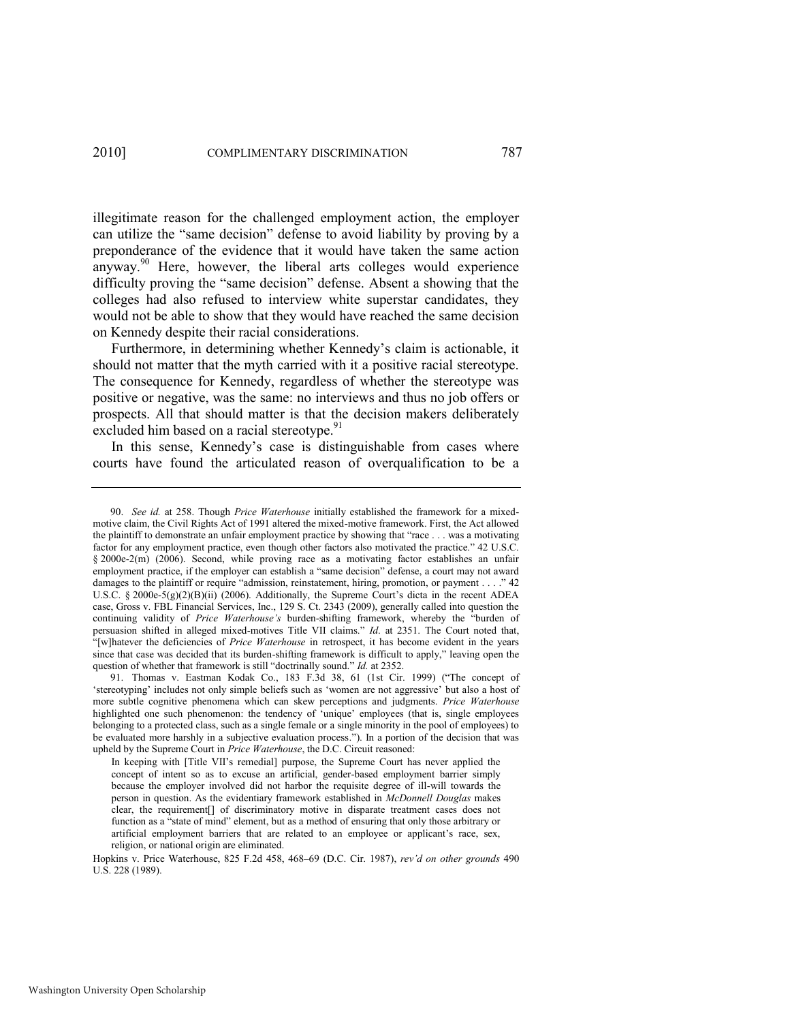illegitimate reason for the challenged employment action, the employer can utilize the "same decision" defense to avoid liability by proving by a preponderance of the evidence that it would have taken the same action anyway.<sup>90</sup> Here, however, the liberal arts colleges would experience difficulty proving the "same decision" defense. Absent a showing that the colleges had also refused to interview white superstar candidates, they would not be able to show that they would have reached the same decision on Kennedy despite their racial considerations.

Furthermore, in determining whether Kennedy's claim is actionable, it should not matter that the myth carried with it a positive racial stereotype. The consequence for Kennedy, regardless of whether the stereotype was positive or negative, was the same: no interviews and thus no job offers or prospects. All that should matter is that the decision makers deliberately excluded him based on a racial stereotype.<sup>91</sup>

In this sense, Kennedy's case is distinguishable from cases where courts have found the articulated reason of overqualification to be a

<sup>90.</sup> *See id.* at 258. Though *Price Waterhouse* initially established the framework for a mixedmotive claim, the Civil Rights Act of 1991 altered the mixed-motive framework. First, the Act allowed the plaintiff to demonstrate an unfair employment practice by showing that "race . . . was a motivating factor for any employment practice, even though other factors also motivated the practice." 42 U.S.C. § 2000e-2(m) (2006). Second, while proving race as a motivating factor establishes an unfair employment practice, if the employer can establish a "same decision" defense, a court may not award damages to the plaintiff or require "admission, reinstatement, hiring, promotion, or payment . . . ." 42 U.S.C. § 2000e-5(g)(2)(B)(ii) (2006). Additionally, the Supreme Court's dicta in the recent ADEA case, Gross v. FBL Financial Services, Inc., 129 S. Ct. 2343 (2009), generally called into question the continuing validity of Price Waterhouse's burden-shifting framework, whereby the "burden of persuasion shifted in alleged mixed-motives Title VII claims." *Id.* at 2351. The Court noted that, ―[w]hatever the deficiencies of *Price Waterhouse* in retrospect, it has become evident in the years since that case was decided that its burden-shifting framework is difficult to apply," leaving open the question of whether that framework is still "doctrinally sound." *Id.* at 2352.

<sup>91.</sup> Thomas v. Eastman Kodak Co., 183 F.3d 38, 61 (1st Cir. 1999) ("The concept of ‗stereotyping' includes not only simple beliefs such as ‗women are not aggressive' but also a host of more subtle cognitive phenomena which can skew perceptions and judgments. *Price Waterhouse* highlighted one such phenomenon: the tendency of 'unique' employees (that is, single employees belonging to a protected class, such as a single female or a single minority in the pool of employees) to be evaluated more harshly in a subjective evaluation process."). In a portion of the decision that was upheld by the Supreme Court in *Price Waterhouse*, the D.C. Circuit reasoned:

In keeping with [Title VII's remedial] purpose, the Supreme Court has never applied the concept of intent so as to excuse an artificial, gender-based employment barrier simply because the employer involved did not harbor the requisite degree of ill-will towards the person in question. As the evidentiary framework established in *McDonnell Douglas* makes clear, the requirement[] of discriminatory motive in disparate treatment cases does not function as a "state of mind" element, but as a method of ensuring that only those arbitrary or artificial employment barriers that are related to an employee or applicant's race, sex, religion, or national origin are eliminated.

Hopkins v. Price Waterhouse, 825 F.2d 458, 468–69 (D.C. Cir. 1987), *rev"d on other grounds* 490 U.S. 228 (1989).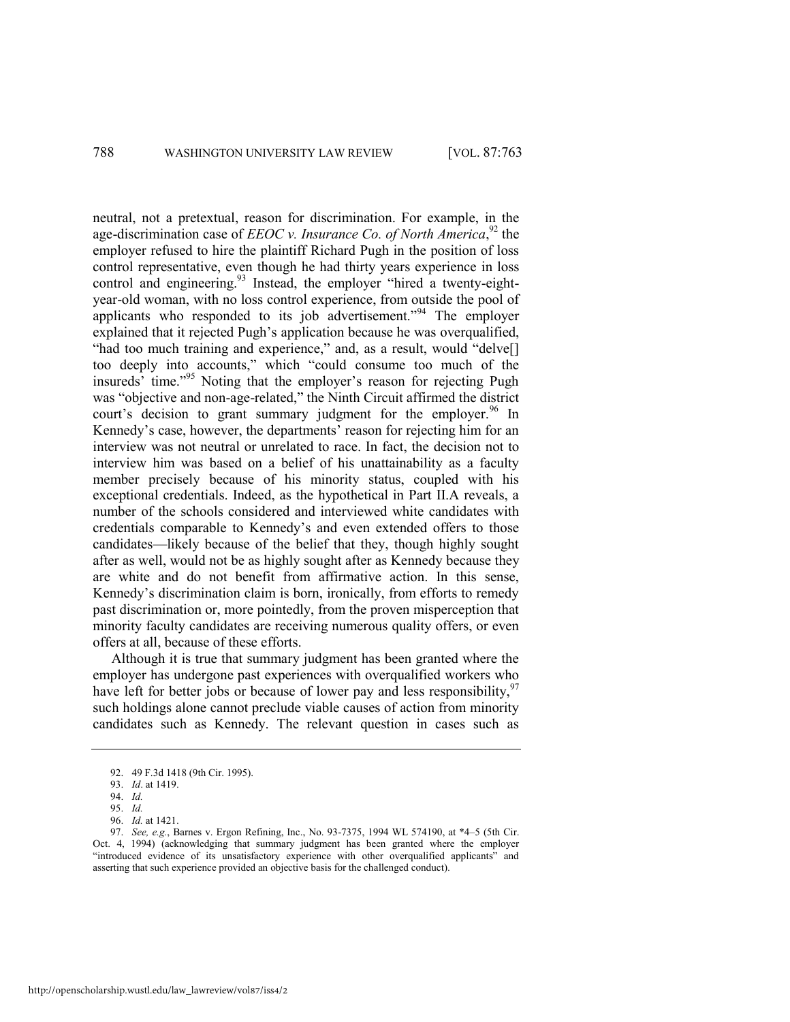neutral, not a pretextual, reason for discrimination. For example, in the age-discrimination case of *EEOC v. Insurance Co. of North America*,<sup>92</sup> the employer refused to hire the plaintiff Richard Pugh in the position of loss control representative, even though he had thirty years experience in loss control and engineering. $93$  Instead, the employer "hired a twenty-eightyear-old woman, with no loss control experience, from outside the pool of applicants who responded to its job advertisement."<sup>94</sup> The employer explained that it rejected Pugh's application because he was overqualified, "had too much training and experience," and, as a result, would "delve[] too deeply into accounts," which "could consume too much of the insureds<sup>3</sup> time."<sup>95</sup> Noting that the employer's reason for rejecting Pugh was "objective and non-age-related," the Ninth Circuit affirmed the district court's decision to grant summary judgment for the employer.<sup>96</sup> In Kennedy's case, however, the departments' reason for rejecting him for an interview was not neutral or unrelated to race. In fact, the decision not to interview him was based on a belief of his unattainability as a faculty member precisely because of his minority status, coupled with his exceptional credentials. Indeed, as the hypothetical in Part II.A reveals, a number of the schools considered and interviewed white candidates with credentials comparable to Kennedy's and even extended offers to those candidates—likely because of the belief that they, though highly sought after as well, would not be as highly sought after as Kennedy because they are white and do not benefit from affirmative action. In this sense, Kennedy's discrimination claim is born, ironically, from efforts to remedy past discrimination or, more pointedly, from the proven misperception that minority faculty candidates are receiving numerous quality offers, or even offers at all, because of these efforts.

Although it is true that summary judgment has been granted where the employer has undergone past experiences with overqualified workers who have left for better jobs or because of lower pay and less responsibility,  $97$ such holdings alone cannot preclude viable causes of action from minority candidates such as Kennedy. The relevant question in cases such as

http://openscholarship.wustl.edu/law\_lawreview/vol87/iss4/2

<sup>92. 49</sup> F.3d 1418 (9th Cir. 1995).

<sup>93.</sup> *Id*. at 1419.

<sup>94.</sup> *Id.*

<sup>95.</sup> *Id.*

<sup>96.</sup> *Id.* at 1421.

<sup>97.</sup> *See, e.g.*, Barnes v. Ergon Refining, Inc., No. 93-7375, 1994 WL 574190, at \*4–5 (5th Cir. Oct. 4, 1994) (acknowledging that summary judgment has been granted where the employer "introduced evidence of its unsatisfactory experience with other overqualified applicants" and asserting that such experience provided an objective basis for the challenged conduct).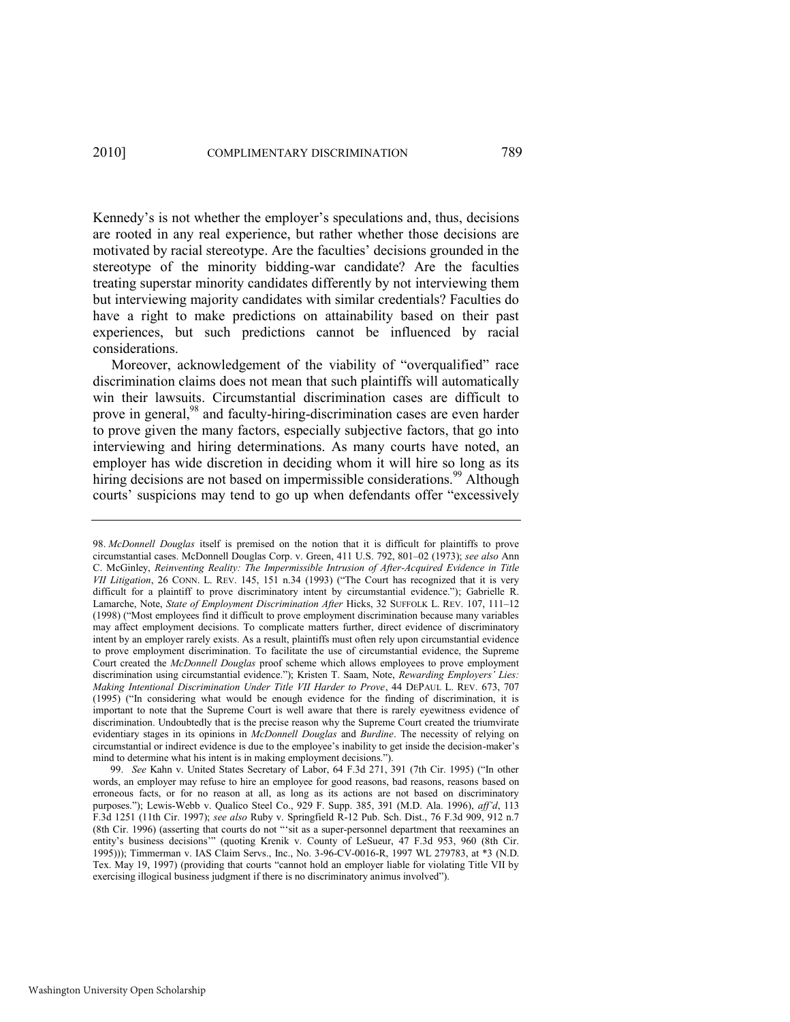Kennedy's is not whether the employer's speculations and, thus, decisions are rooted in any real experience, but rather whether those decisions are motivated by racial stereotype. Are the faculties' decisions grounded in the stereotype of the minority bidding-war candidate? Are the faculties treating superstar minority candidates differently by not interviewing them but interviewing majority candidates with similar credentials? Faculties do have a right to make predictions on attainability based on their past experiences, but such predictions cannot be influenced by racial considerations.

Moreover, acknowledgement of the viability of "overqualified" race discrimination claims does not mean that such plaintiffs will automatically win their lawsuits. Circumstantial discrimination cases are difficult to prove in general,<sup>98</sup> and faculty-hiring-discrimination cases are even harder to prove given the many factors, especially subjective factors, that go into interviewing and hiring determinations. As many courts have noted, an employer has wide discretion in deciding whom it will hire so long as its hiring decisions are not based on impermissible considerations.<sup>99</sup> Although courts' suspicions may tend to go up when defendants offer "excessively

<sup>98.</sup> *McDonnell Douglas* itself is premised on the notion that it is difficult for plaintiffs to prove circumstantial cases. McDonnell Douglas Corp. v. Green, 411 U.S. 792, 801–02 (1973); *see also* Ann C. McGinley, *Reinventing Reality: The Impermissible Intrusion of After-Acquired Evidence in Title VII Litigation*, 26 CONN. L. REV. 145, 151 n.34 (1993) ("The Court has recognized that it is very difficult for a plaintiff to prove discriminatory intent by circumstantial evidence."); Gabrielle R. Lamarche, Note, *State of Employment Discrimination After* Hicks, 32 SUFFOLK L. REV. 107, 111–12 (1998) ("Most employees find it difficult to prove employment discrimination because many variables may affect employment decisions. To complicate matters further, direct evidence of discriminatory intent by an employer rarely exists. As a result, plaintiffs must often rely upon circumstantial evidence to prove employment discrimination. To facilitate the use of circumstantial evidence, the Supreme Court created the *McDonnell Douglas* proof scheme which allows employees to prove employment discrimination using circumstantial evidence."); Kristen T. Saam, Note, *Rewarding Employers' Lies: Making Intentional Discrimination Under Title VII Harder to Prove*, 44 DEPAUL L. REV. 673, 707  $(1995)$  ("In considering what would be enough evidence for the finding of discrimination, it is important to note that the Supreme Court is well aware that there is rarely eyewitness evidence of discrimination. Undoubtedly that is the precise reason why the Supreme Court created the triumvirate evidentiary stages in its opinions in *McDonnell Douglas* and *Burdine*. The necessity of relying on circumstantial or indirect evidence is due to the employee's inability to get inside the decision-maker's mind to determine what his intent is in making employment decisions.").

<sup>99.</sup> *See* Kahn v. United States Secretary of Labor, 64 F.3d 271, 391 (7th Cir. 1995) ("In other words, an employer may refuse to hire an employee for good reasons, bad reasons, reasons based on erroneous facts, or for no reason at all, as long as its actions are not based on discriminatory purposes.‖); Lewis-Webb v. Qualico Steel Co., 929 F. Supp. 385, 391 (M.D. Ala. 1996), *aff"d*, 113 F.3d 1251 (11th Cir. 1997); *see also* Ruby v. Springfield R-12 Pub. Sch. Dist., 76 F.3d 909, 912 n.7 (8th Cir. 1996) (asserting that courts do not "sit as a super-personnel department that reexamines an entity's business decisions" (quoting Krenik v. County of LeSueur, 47 F.3d 953, 960 (8th Cir. 1995))); Timmerman v. IAS Claim Servs., Inc., No. 3-96-CV-0016-R, 1997 WL 279783, at \*3 (N.D. Tex. May 19, 1997) (providing that courts "cannot hold an employer liable for violating Title VII by exercising illogical business judgment if there is no discriminatory animus involved").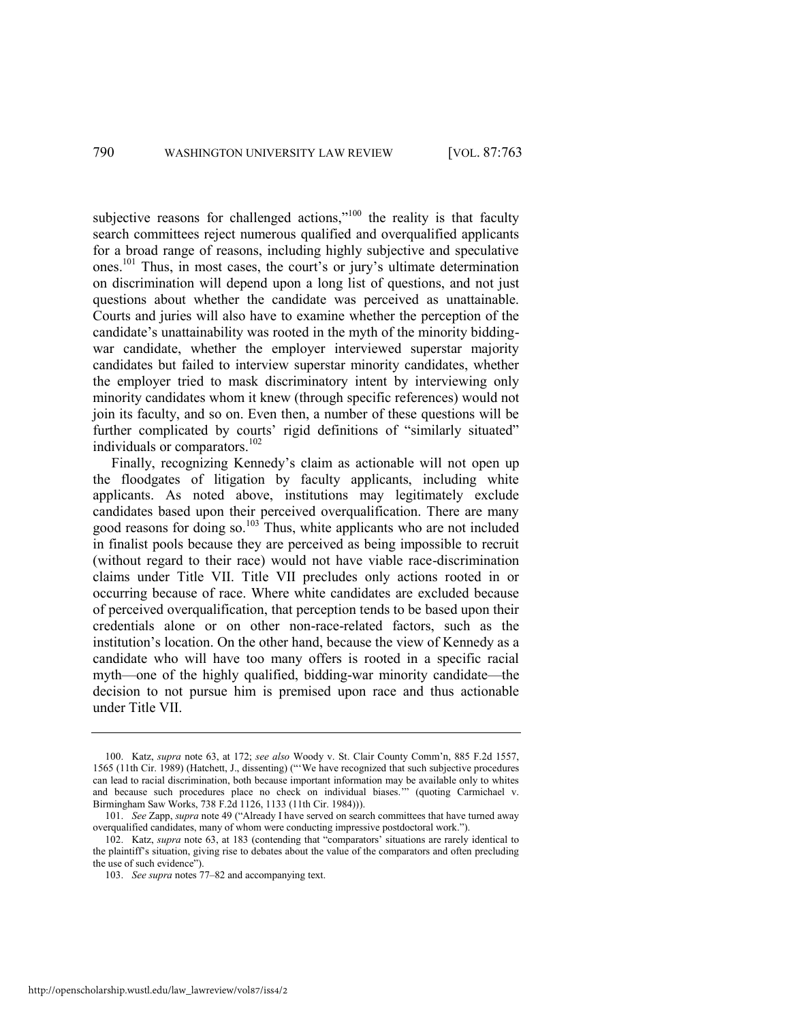subjective reasons for challenged actions,"<sup>100</sup> the reality is that faculty search committees reject numerous qualified and overqualified applicants for a broad range of reasons, including highly subjective and speculative ones.<sup>101</sup> Thus, in most cases, the court's or jury's ultimate determination on discrimination will depend upon a long list of questions, and not just questions about whether the candidate was perceived as unattainable. Courts and juries will also have to examine whether the perception of the candidate's unattainability was rooted in the myth of the minority biddingwar candidate, whether the employer interviewed superstar majority candidates but failed to interview superstar minority candidates, whether the employer tried to mask discriminatory intent by interviewing only minority candidates whom it knew (through specific references) would not join its faculty, and so on. Even then, a number of these questions will be further complicated by courts' rigid definitions of "similarly situated" individuals or comparators.<sup>102</sup>

Finally, recognizing Kennedy's claim as actionable will not open up the floodgates of litigation by faculty applicants, including white applicants. As noted above, institutions may legitimately exclude candidates based upon their perceived overqualification. There are many good reasons for doing so.<sup>103</sup> Thus, white applicants who are not included in finalist pools because they are perceived as being impossible to recruit (without regard to their race) would not have viable race-discrimination claims under Title VII. Title VII precludes only actions rooted in or occurring because of race. Where white candidates are excluded because of perceived overqualification, that perception tends to be based upon their credentials alone or on other non-race-related factors, such as the institution's location. On the other hand, because the view of Kennedy as a candidate who will have too many offers is rooted in a specific racial myth—one of the highly qualified, bidding-war minority candidate—the decision to not pursue him is premised upon race and thus actionable under Title VII.

<sup>100.</sup> Katz, *supra* note [63,](#page-20-0) at 172; *see also* Woody v. St. Clair County Comm'n, 885 F.2d 1557, 1565 (11th Cir. 1989) (Hatchett, J., dissenting) ("We have recognized that such subjective procedures can lead to racial discrimination, both because important information may be available only to whites and because such procedures place no check on individual biases."" (quoting Carmichael v. Birmingham Saw Works, 738 F.2d 1126, 1133 (11th Cir. 1984))).

<sup>101.</sup> *See Zapp, supra* not[e 49](#page-15-0) ("Already I have served on search committees that have turned away overqualified candidates, many of whom were conducting impressive postdoctoral work.").

<sup>102.</sup> Katz, *supra* note [63,](#page-20-0) at 183 (contending that "comparators' situations are rarely identical to the plaintiff's situation, giving rise to debates about the value of the comparators and often precluding the use of such evidence").

<sup>103.</sup> *See supra* note[s 77](#page-23-0)–[82 a](#page-24-0)nd accompanying text.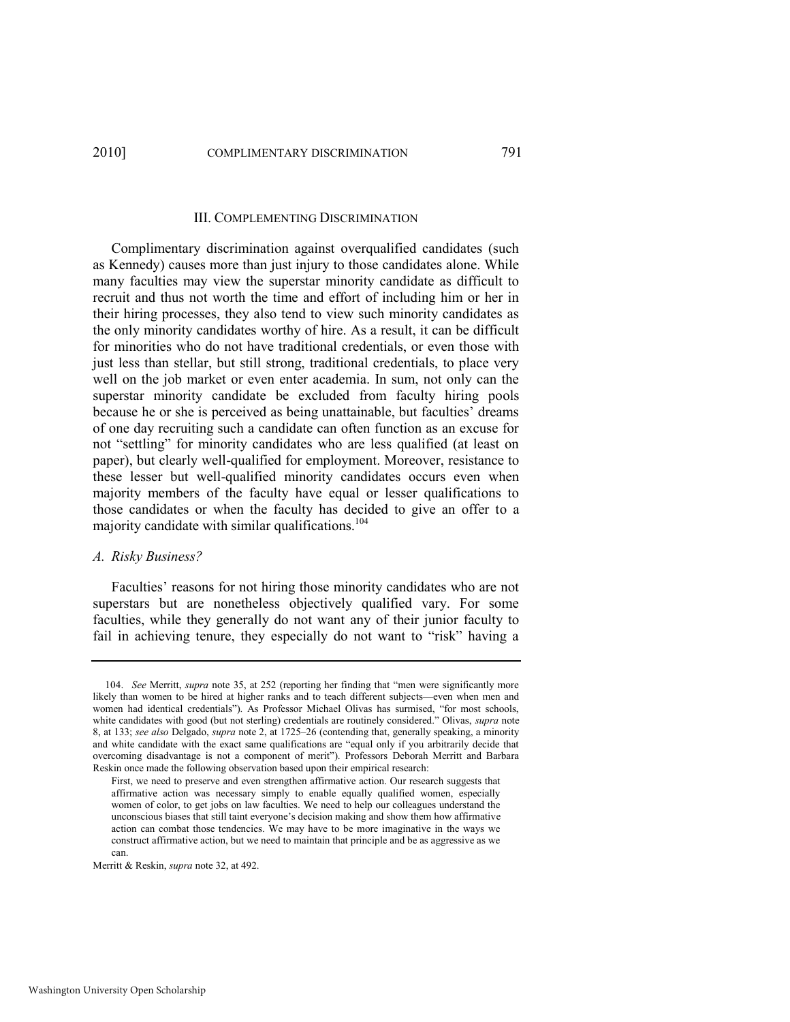#### III. COMPLEMENTING DISCRIMINATION

Complimentary discrimination against overqualified candidates (such as Kennedy) causes more than just injury to those candidates alone. While many faculties may view the superstar minority candidate as difficult to recruit and thus not worth the time and effort of including him or her in their hiring processes, they also tend to view such minority candidates as the only minority candidates worthy of hire. As a result, it can be difficult for minorities who do not have traditional credentials, or even those with just less than stellar, but still strong, traditional credentials, to place very well on the job market or even enter academia. In sum, not only can the superstar minority candidate be excluded from faculty hiring pools because he or she is perceived as being unattainable, but faculties' dreams of one day recruiting such a candidate can often function as an excuse for not "settling" for minority candidates who are less qualified (at least on paper), but clearly well-qualified for employment. Moreover, resistance to these lesser but well-qualified minority candidates occurs even when majority members of the faculty have equal or lesser qualifications to those candidates or when the faculty has decided to give an offer to a majority candidate with similar qualifications.<sup>104</sup>

#### *A. Risky Business?*

Faculties' reasons for not hiring those minority candidates who are not superstars but are nonetheless objectively qualified vary. For some faculties, while they generally do not want any of their junior faculty to fail in achieving tenure, they especially do not want to "risk" having a

<sup>104.</sup> *See* Merritt, *supra* note [35](#page-12-0), at 252 (reporting her finding that "men were significantly more likely than women to be hired at higher ranks and to teach different subjects—even when men and women had identical credentials"). As Professor Michael Olivas has surmised, "for most schools, white candidates with good (but not sterling) credentials are routinely considered." Olivas, *supra* note [8,](#page-5-0) at 133; *see also* Delgado, *supra* note [2,](#page-4-0) at 1725–26 (contending that, generally speaking, a minority and white candidate with the exact same qualifications are "equal only if you arbitrarily decide that overcoming disadvantage is not a component of merit"). Professors Deborah Merritt and Barbara Reskin once made the following observation based upon their empirical research:

First, we need to preserve and even strengthen affirmative action. Our research suggests that affirmative action was necessary simply to enable equally qualified women, especially women of color, to get jobs on law faculties. We need to help our colleagues understand the unconscious biases that still taint everyone's decision making and show them how affirmative action can combat those tendencies. We may have to be more imaginative in the ways we construct affirmative action, but we need to maintain that principle and be as aggressive as we can.

Merritt & Reskin, *supra* not[e 32,](#page-11-1) at 492.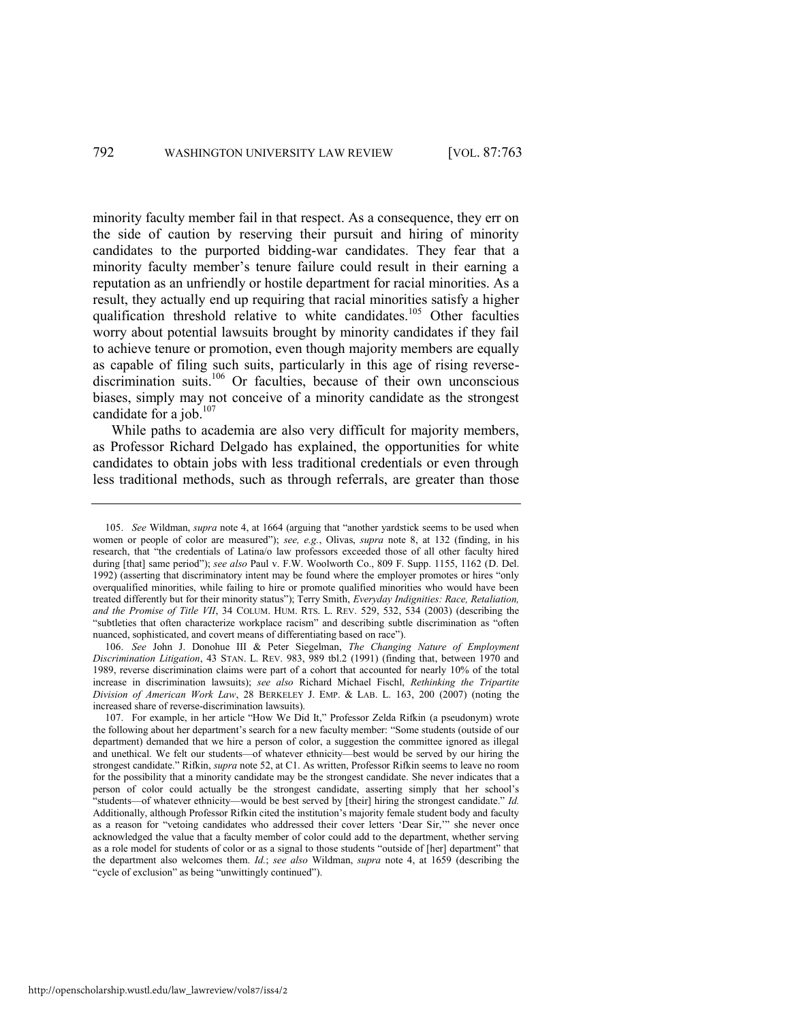minority faculty member fail in that respect. As a consequence, they err on the side of caution by reserving their pursuit and hiring of minority candidates to the purported bidding-war candidates. They fear that a minority faculty member's tenure failure could result in their earning a reputation as an unfriendly or hostile department for racial minorities. As a result, they actually end up requiring that racial minorities satisfy a higher qualification threshold relative to white candidates.<sup>105</sup> Other faculties worry about potential lawsuits brought by minority candidates if they fail to achieve tenure or promotion, even though majority members are equally as capable of filing such suits, particularly in this age of rising reversediscrimination suits.<sup>106</sup> Or faculties, because of their own unconscious biases, simply may not conceive of a minority candidate as the strongest candidate for a job. $107$ 

While paths to academia are also very difficult for majority members, as Professor Richard Delgado has explained, the opportunities for white candidates to obtain jobs with less traditional credentials or even through less traditional methods, such as through referrals, are greater than those

106. *See* John J. Donohue III & Peter Siegelman, *The Changing Nature of Employment Discrimination Litigation*, 43 STAN. L. REV. 983, 989 tbl.2 (1991) (finding that, between 1970 and 1989, reverse discrimination claims were part of a cohort that accounted for nearly 10% of the total increase in discrimination lawsuits); *see also* Richard Michael Fischl, *Rethinking the Tripartite Division of American Work Law*, 28 BERKELEY J. EMP. & LAB. L. 163, 200 (2007) (noting the increased share of reverse-discrimination lawsuits).

<sup>105.</sup> *See* Wildman, *supra* note [4](#page-4-1), at 1664 (arguing that "another yardstick seems to be used when women or people of color are measured"); *see, e.g.*, Olivas, *supra* note [8,](#page-5-0) at 132 (finding, in his research, that "the credentials of Latina/o law professors exceeded those of all other faculty hired during [that] same period"); see also Paul v. F.W. Woolworth Co., 809 F. Supp. 1155, 1162 (D. Del. 1992) (asserting that discriminatory intent may be found where the employer promotes or hires "only overqualified minorities, while failing to hire or promote qualified minorities who would have been treated differently but for their minority status"); Terry Smith, *Everyday Indignities: Race, Retaliation*, *and the Promise of Title VII*, 34 COLUM. HUM. RTS. L. REV. 529, 532, 534 (2003) (describing the "subtleties that often characterize workplace racism" and describing subtle discrimination as "often nuanced, sophisticated, and covert means of differentiating based on race").

<sup>107.</sup> For example, in her article "How We Did It," Professor Zelda Rifkin (a pseudonym) wrote the following about her department's search for a new faculty member: "Some students (outside of our department) demanded that we hire a person of color, a suggestion the committee ignored as illegal and unethical. We felt our students—of whatever ethnicity—best would be served by our hiring the strongest candidate." Rifkin, *supra* not[e 52,](#page-17-0) at C1. As written, Professor Rifkin seems to leave no room for the possibility that a minority candidate may be the strongest candidate. She never indicates that a person of color could actually be the strongest candidate, asserting simply that her school's ―students—of whatever ethnicity—would be best served by [their] hiring the strongest candidate.‖ *Id.* Additionally, although Professor Rifkin cited the institution's majority female student body and faculty as a reason for "vetoing candidates who addressed their cover letters 'Dear Sir,'" she never once acknowledged the value that a faculty member of color could add to the department, whether serving as a role model for students of color or as a signal to those students "outside of [her] department" that the department also welcomes them. *Id.*; *see also* Wildman, *supra* note [4,](#page-4-1) at 1659 (describing the "cycle of exclusion" as being "unwittingly continued").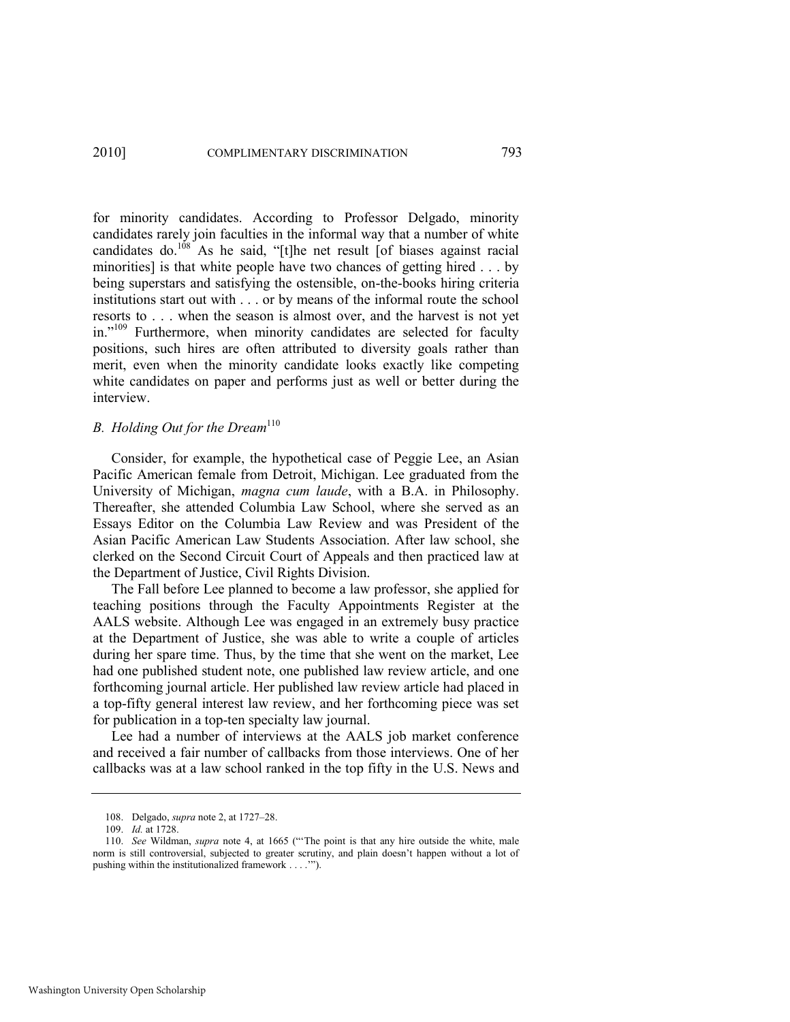for minority candidates. According to Professor Delgado, minority candidates rarely join faculties in the informal way that a number of white candidates do.<sup>108</sup> As he said, "[t]he net result [of biases against racial minorities] is that white people have two chances of getting hired . . . by being superstars and satisfying the ostensible, on-the-books hiring criteria institutions start out with . . . or by means of the informal route the school resorts to . . . when the season is almost over, and the harvest is not yet in."<sup>109</sup> Furthermore, when minority candidates are selected for faculty positions, such hires are often attributed to diversity goals rather than merit, even when the minority candidate looks exactly like competing white candidates on paper and performs just as well or better during the interview.

#### *B. Holding Out for the Dream*<sup>110</sup>

Consider, for example, the hypothetical case of Peggie Lee, an Asian Pacific American female from Detroit, Michigan. Lee graduated from the University of Michigan, *magna cum laude*, with a B.A. in Philosophy. Thereafter, she attended Columbia Law School, where she served as an Essays Editor on the Columbia Law Review and was President of the Asian Pacific American Law Students Association. After law school, she clerked on the Second Circuit Court of Appeals and then practiced law at the Department of Justice, Civil Rights Division.

The Fall before Lee planned to become a law professor, she applied for teaching positions through the Faculty Appointments Register at the AALS website. Although Lee was engaged in an extremely busy practice at the Department of Justice, she was able to write a couple of articles during her spare time. Thus, by the time that she went on the market, Lee had one published student note, one published law review article, and one forthcoming journal article. Her published law review article had placed in a top-fifty general interest law review, and her forthcoming piece was set for publication in a top-ten specialty law journal.

Lee had a number of interviews at the AALS job market conference and received a fair number of callbacks from those interviews. One of her callbacks was at a law school ranked in the top fifty in the U.S. News and

<sup>108.</sup> Delgado, *supra* not[e 2,](#page-4-0) at 1727–28.

<sup>109.</sup> *Id.* at 1728.

<sup>110.</sup> *See* Wildman, *supra* note [4](#page-4-1), at 1665 ("The point is that any hire outside the white, male norm is still controversial, subjected to greater scrutiny, and plain doesn't happen without a lot of pushing within the institutionalized framework . . . .'").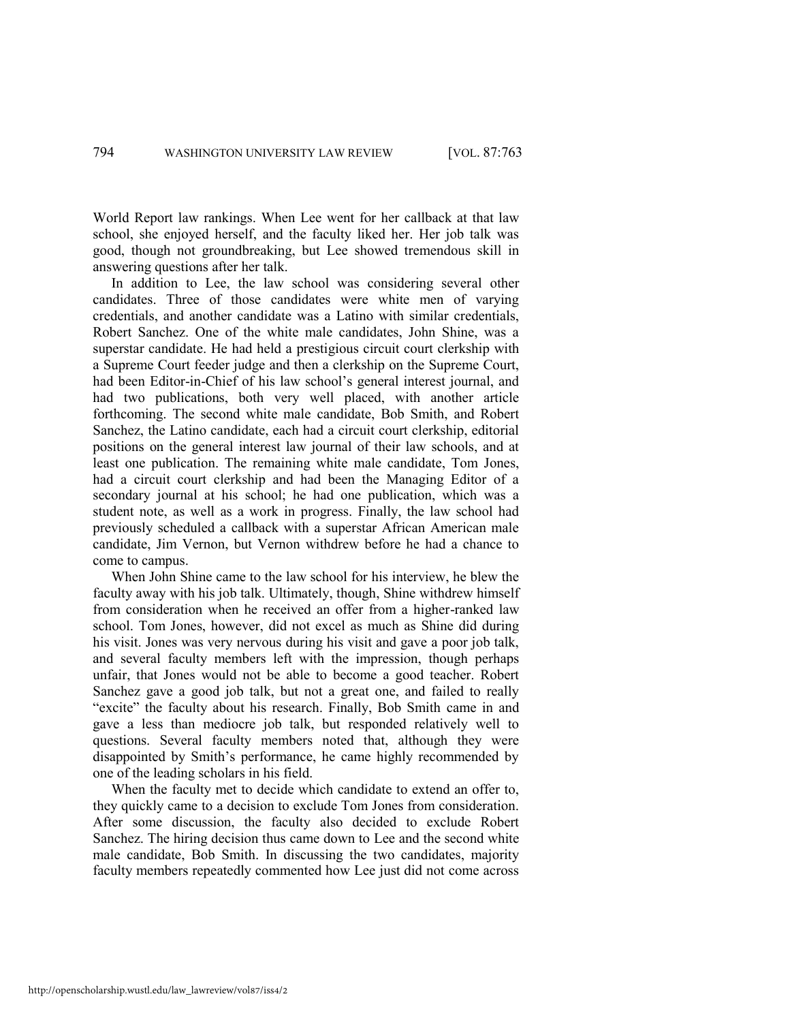World Report law rankings. When Lee went for her callback at that law school, she enjoyed herself, and the faculty liked her. Her job talk was good, though not groundbreaking, but Lee showed tremendous skill in answering questions after her talk.

In addition to Lee, the law school was considering several other candidates. Three of those candidates were white men of varying credentials, and another candidate was a Latino with similar credentials, Robert Sanchez. One of the white male candidates, John Shine, was a superstar candidate. He had held a prestigious circuit court clerkship with a Supreme Court feeder judge and then a clerkship on the Supreme Court, had been Editor-in-Chief of his law school's general interest journal, and had two publications, both very well placed, with another article forthcoming. The second white male candidate, Bob Smith, and Robert Sanchez, the Latino candidate, each had a circuit court clerkship, editorial positions on the general interest law journal of their law schools, and at least one publication. The remaining white male candidate, Tom Jones, had a circuit court clerkship and had been the Managing Editor of a secondary journal at his school; he had one publication, which was a student note, as well as a work in progress. Finally, the law school had previously scheduled a callback with a superstar African American male candidate, Jim Vernon, but Vernon withdrew before he had a chance to come to campus.

When John Shine came to the law school for his interview, he blew the faculty away with his job talk. Ultimately, though, Shine withdrew himself from consideration when he received an offer from a higher-ranked law school. Tom Jones, however, did not excel as much as Shine did during his visit. Jones was very nervous during his visit and gave a poor job talk, and several faculty members left with the impression, though perhaps unfair, that Jones would not be able to become a good teacher. Robert Sanchez gave a good job talk, but not a great one, and failed to really "excite" the faculty about his research. Finally, Bob Smith came in and gave a less than mediocre job talk, but responded relatively well to questions. Several faculty members noted that, although they were disappointed by Smith's performance, he came highly recommended by one of the leading scholars in his field.

When the faculty met to decide which candidate to extend an offer to, they quickly came to a decision to exclude Tom Jones from consideration. After some discussion, the faculty also decided to exclude Robert Sanchez. The hiring decision thus came down to Lee and the second white male candidate, Bob Smith. In discussing the two candidates, majority faculty members repeatedly commented how Lee just did not come across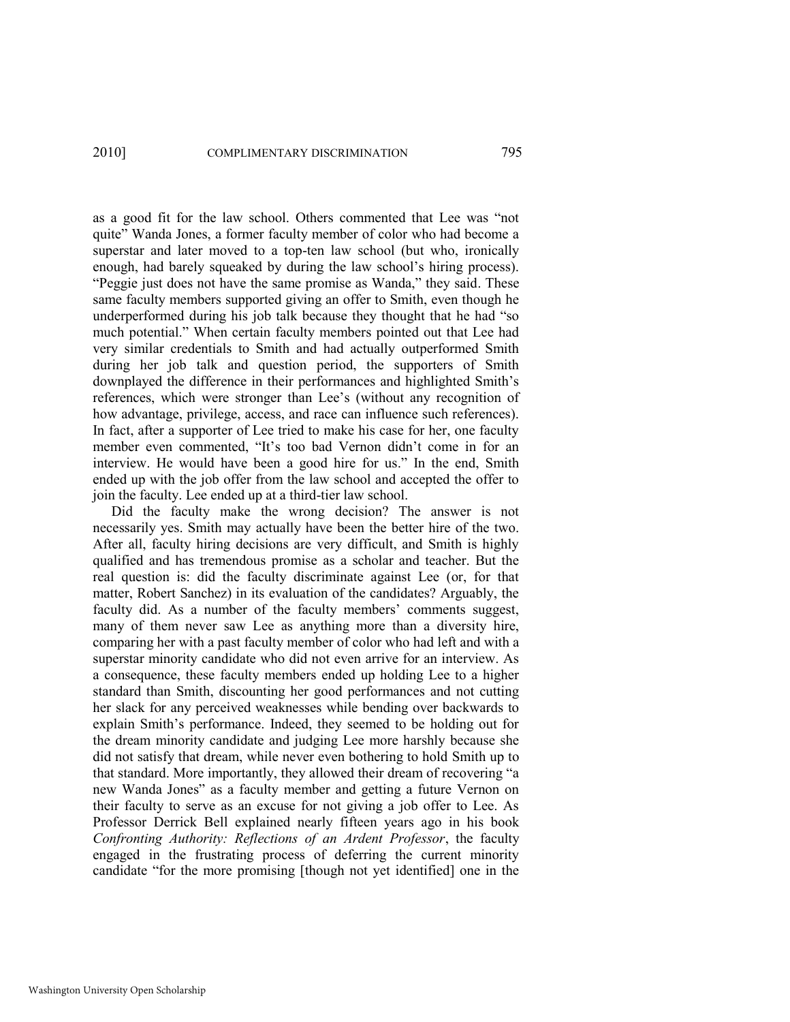as a good fit for the law school. Others commented that Lee was "not quite" Wanda Jones, a former faculty member of color who had become a superstar and later moved to a top-ten law school (but who, ironically enough, had barely squeaked by during the law school's hiring process). "Peggie just does not have the same promise as Wanda," they said. These same faculty members supported giving an offer to Smith, even though he underperformed during his job talk because they thought that he had "so much potential." When certain faculty members pointed out that Lee had very similar credentials to Smith and had actually outperformed Smith during her job talk and question period, the supporters of Smith downplayed the difference in their performances and highlighted Smith's references, which were stronger than Lee's (without any recognition of how advantage, privilege, access, and race can influence such references). In fact, after a supporter of Lee tried to make his case for her, one faculty member even commented, "It's too bad Vernon didn't come in for an interview. He would have been a good hire for us." In the end, Smith ended up with the job offer from the law school and accepted the offer to join the faculty. Lee ended up at a third-tier law school.

Did the faculty make the wrong decision? The answer is not necessarily yes. Smith may actually have been the better hire of the two. After all, faculty hiring decisions are very difficult, and Smith is highly qualified and has tremendous promise as a scholar and teacher. But the real question is: did the faculty discriminate against Lee (or, for that matter, Robert Sanchez) in its evaluation of the candidates? Arguably, the faculty did. As a number of the faculty members' comments suggest, many of them never saw Lee as anything more than a diversity hire, comparing her with a past faculty member of color who had left and with a superstar minority candidate who did not even arrive for an interview. As a consequence, these faculty members ended up holding Lee to a higher standard than Smith, discounting her good performances and not cutting her slack for any perceived weaknesses while bending over backwards to explain Smith's performance. Indeed, they seemed to be holding out for the dream minority candidate and judging Lee more harshly because she did not satisfy that dream, while never even bothering to hold Smith up to that standard. More importantly, they allowed their dream of recovering "a new Wanda Jones" as a faculty member and getting a future Vernon on their faculty to serve as an excuse for not giving a job offer to Lee. As Professor Derrick Bell explained nearly fifteen years ago in his book *Confronting Authority: Reflections of an Ardent Professor*, the faculty engaged in the frustrating process of deferring the current minority candidate "for the more promising [though not yet identified] one in the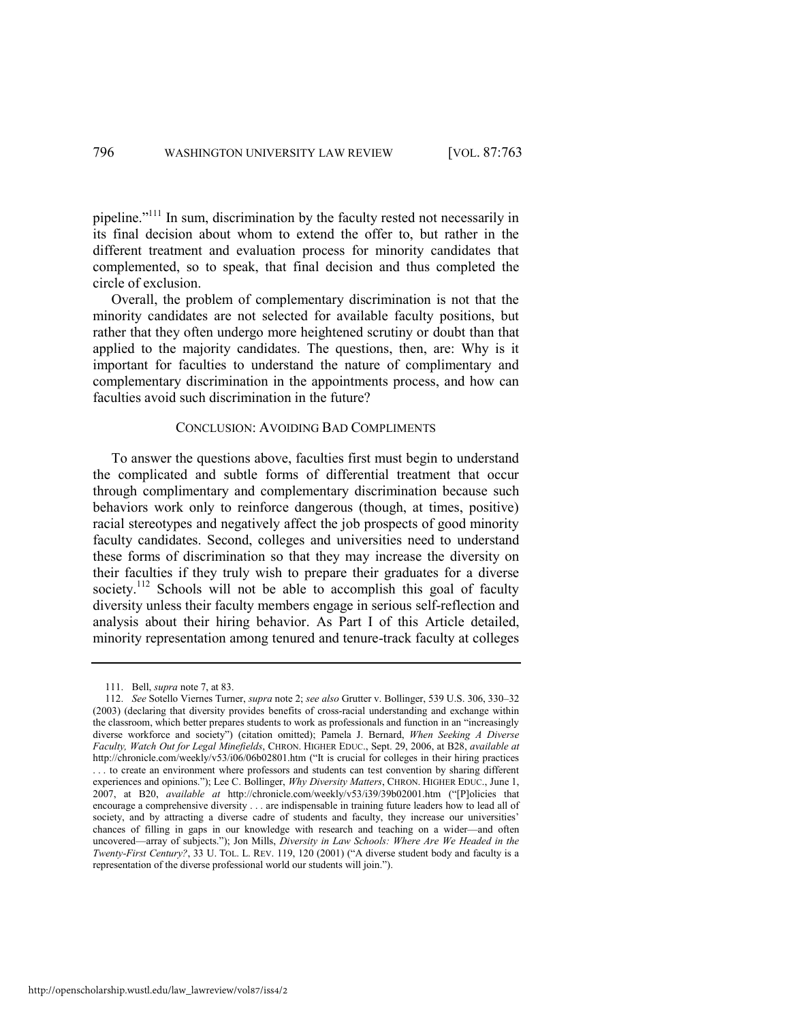pipeline.<sup> $2111$ </sup> In sum, discrimination by the faculty rested not necessarily in its final decision about whom to extend the offer to, but rather in the different treatment and evaluation process for minority candidates that complemented, so to speak, that final decision and thus completed the circle of exclusion.

Overall, the problem of complementary discrimination is not that the minority candidates are not selected for available faculty positions, but rather that they often undergo more heightened scrutiny or doubt than that applied to the majority candidates. The questions, then, are: Why is it important for faculties to understand the nature of complimentary and complementary discrimination in the appointments process, and how can faculties avoid such discrimination in the future?

#### CONCLUSION: AVOIDING BAD COMPLIMENTS

To answer the questions above, faculties first must begin to understand the complicated and subtle forms of differential treatment that occur through complimentary and complementary discrimination because such behaviors work only to reinforce dangerous (though, at times, positive) racial stereotypes and negatively affect the job prospects of good minority faculty candidates. Second, colleges and universities need to understand these forms of discrimination so that they may increase the diversity on their faculties if they truly wish to prepare their graduates for a diverse society.<sup>112</sup> Schools will not be able to accomplish this goal of faculty diversity unless their faculty members engage in serious self-reflection and analysis about their hiring behavior. As Part I of this Article detailed, minority representation among tenured and tenure-track faculty at colleges

<span id="page-35-0"></span><sup>111.</sup> Bell, *supra* not[e 7,](#page-5-1) at 83.

<sup>112.</sup> *See* Sotello Viernes Turner, *supra* note [2;](#page-4-0) *see also* Grutter v. Bollinger, 539 U.S. 306, 330–32 (2003) (declaring that diversity provides benefits of cross-racial understanding and exchange within the classroom, which better prepares students to work as professionals and function in an "increasingly diverse workforce and society") (citation omitted); Pamela J. Bernard, When Seeking A Diverse *Faculty, Watch Out for Legal Minefields*, CHRON. HIGHER EDUC., Sept. 29, 2006, at B28, *available at* http://chronicle.com/weekly/v53/i06/06b02801.htm ("It is crucial for colleges in their hiring practices . . . to create an environment where professors and students can test convention by sharing different experiences and opinions."); Lee C. Bollinger, *Why Diversity Matters*, CHRON. HIGHER EDUC., June 1, 2007, at B20, *available at http://chronicle.com/weekly/v53/i39/39b02001.htm* ("Plolicies that encourage a comprehensive diversity . . . are indispensable in training future leaders how to lead all of society, and by attracting a diverse cadre of students and faculty, they increase our universities' chances of filling in gaps in our knowledge with research and teaching on a wider—and often uncovered—array of subjects.‖); Jon Mills, *Diversity in Law Schools: Where Are We Headed in the Twenty-First Century?*, 33 U. TOL. L. REV. 119, 120 (2001) ("A diverse student body and faculty is a representation of the diverse professional world our students will join.").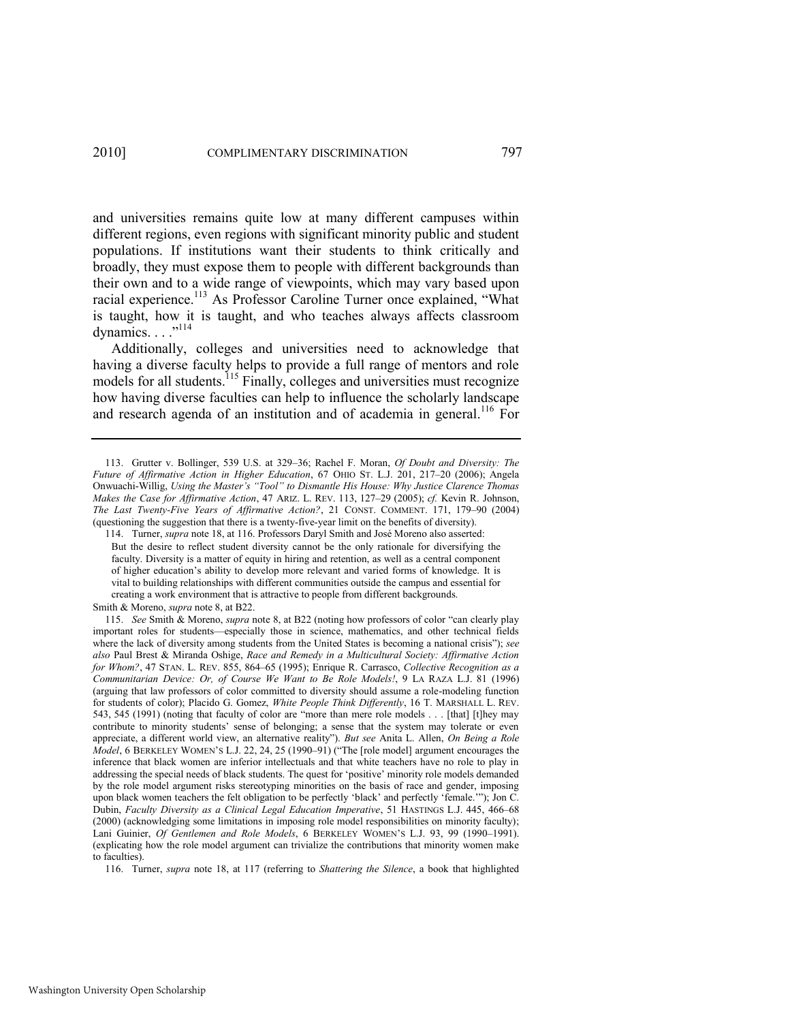and universities remains quite low at many different campuses within different regions, even regions with significant minority public and student populations. If institutions want their students to think critically and broadly, they must expose them to people with different backgrounds than their own and to a wide range of viewpoints, which may vary based upon racial experience.<sup>113</sup> As Professor Caroline Turner once explained, "What is taught, how it is taught, and who teaches always affects classroom dynamics.  $\ldots$ <sup>,,114</sup>

Additionally, colleges and universities need to acknowledge that having a diverse faculty helps to provide a full range of mentors and role models for all students.<sup>115</sup> Finally, colleges and universities must recognize how having diverse faculties can help to influence the scholarly landscape and research agenda of an institution and of academia in general.<sup>116</sup> For

<sup>113.</sup> Grutter v. Bollinger, 539 U.S. at 329–36; Rachel F. Moran, *Of Doubt and Diversity: The Future of Affirmative Action in Higher Education*, 67 OHIO ST. L.J. 201, 217–20 (2006); Angela Onwuachi-Willig, *Using the Master"s "Tool" to Dismantle His House: Why Justice Clarence Thomas Makes the Case for Affirmative Action*, 47 ARIZ. L. REV. 113, 127–29 (2005); *cf.* Kevin R. Johnson, *The Last Twenty-Five Years of Affirmative Action?*, 21 CONST. COMMENT. 171, 179–90 (2004) (questioning the suggestion that there is a twenty-five-year limit on the benefits of diversity).

<sup>114.</sup> Turner, *supra* not[e 18,](#page-8-0) at 116. Professors Daryl Smith and José Moreno also asserted: But the desire to reflect student diversity cannot be the only rationale for diversifying the faculty. Diversity is a matter of equity in hiring and retention, as well as a central component of higher education's ability to develop more relevant and varied forms of knowledge. It is vital to building relationships with different communities outside the campus and essential for creating a work environment that is attractive to people from different backgrounds. Smith & Moreno, *supra* not[e 8,](#page-5-0) at B22.

<sup>115.</sup> *See* Smith & Moreno, *supra* not[e 8,](#page-5-0) at B22 (noting how professors of color "can clearly play important roles for students—especially those in science, mathematics, and other technical fields where the lack of diversity among students from the United States is becoming a national crisis"); see *also* Paul Brest & Miranda Oshige, *Race and Remedy in a Multicultural Society: Affirmative Action for Whom?*, 47 STAN. L. REV. 855, 864–65 (1995); Enrique R. Carrasco, *Collective Recognition as a Communitarian Device: Or, of Course We Want to Be Role Models!*, 9 LA RAZA L.J. 81 (1996) (arguing that law professors of color committed to diversity should assume a role-modeling function for students of color); Placido G. Gomez, *White People Think Differently*, 16 T. MARSHALL L. REV. 543, 545 (1991) (noting that faculty of color are "more than mere role models . . . [that] [t]hey may contribute to minority students' sense of belonging; a sense that the system may tolerate or even appreciate, a different world view, an alternative reality"). *But see* Anita L. Allen, *On Being a Role Model*, 6 BERKELEY WOMEN'S L.J. 22, 24, 25 (1990–91) ("The [role model] argument encourages the inference that black women are inferior intellectuals and that white teachers have no role to play in addressing the special needs of black students. The quest for 'positive' minority role models demanded by the role model argument risks stereotyping minorities on the basis of race and gender, imposing upon black women teachers the felt obligation to be perfectly 'black' and perfectly 'female.'"); Jon C. Dubin, *Faculty Diversity as a Clinical Legal Education Imperative*, 51 HASTINGS L.J. 445, 466–68 (2000) (acknowledging some limitations in imposing role model responsibilities on minority faculty); Lani Guinier, *Of Gentlemen and Role Models*, 6 BERKELEY WOMEN'S L.J. 93, 99 (1990–1991). (explicating how the role model argument can trivialize the contributions that minority women make to faculties).

<sup>116.</sup> Turner, *supra* note [18,](#page-8-0) at 117 (referring to *Shattering the Silence*, a book that highlighted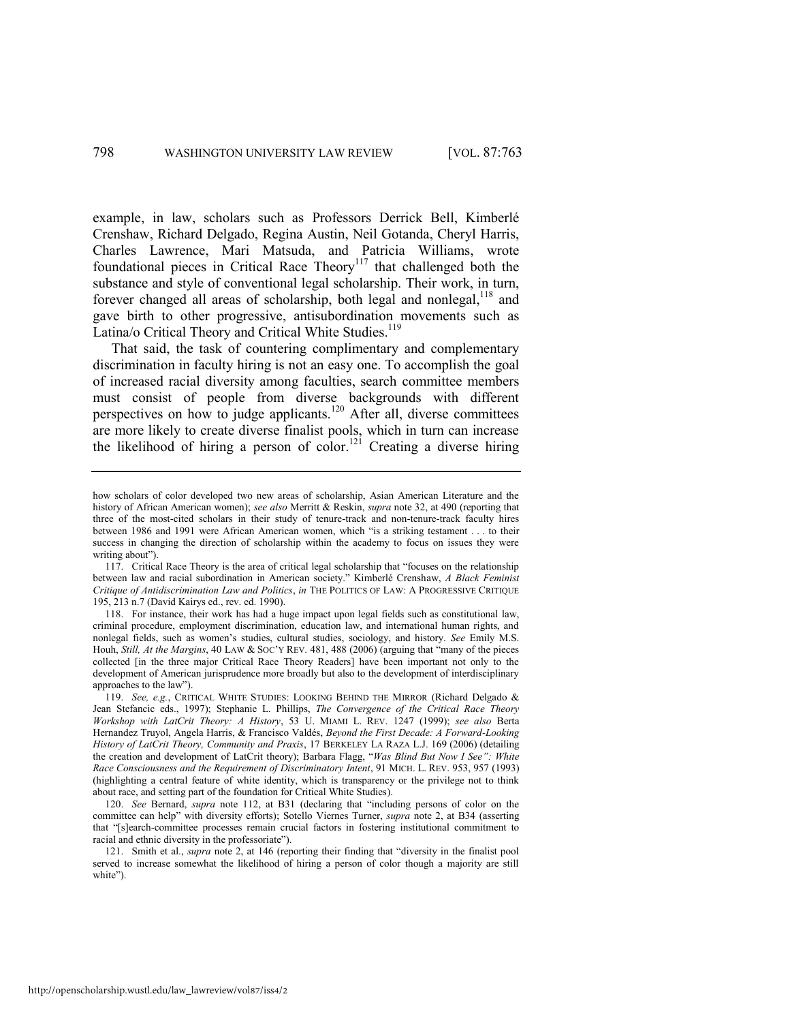example, in law, scholars such as Professors Derrick Bell, Kimberlé Crenshaw, Richard Delgado, Regina Austin, Neil Gotanda, Cheryl Harris, Charles Lawrence, Mari Matsuda, and Patricia Williams, wrote foundational pieces in Critical Race Theory<sup>117</sup> that challenged both the substance and style of conventional legal scholarship. Their work, in turn, forever changed all areas of scholarship, both legal and nonlegal,<sup>118</sup> and gave birth to other progressive, antisubordination movements such as Latina/o Critical Theory and Critical White Studies.<sup>119</sup>

That said, the task of countering complimentary and complementary discrimination in faculty hiring is not an easy one. To accomplish the goal of increased racial diversity among faculties, search committee members must consist of people from diverse backgrounds with different perspectives on how to judge applicants.<sup>120</sup> After all, diverse committees are more likely to create diverse finalist pools, which in turn can increase the likelihood of hiring a person of color.<sup>121</sup> Creating a diverse hiring

how scholars of color developed two new areas of scholarship, Asian American Literature and the history of African American women); *see also* Merritt & Reskin, *supra* not[e 32,](#page-11-1) at 490 (reporting that three of the most-cited scholars in their study of tenure-track and non-tenure-track faculty hires between 1986 and 1991 were African American women, which "is a striking testament . . . to their success in changing the direction of scholarship within the academy to focus on issues they were writing about").

<sup>117.</sup> Critical Race Theory is the area of critical legal scholarship that "focuses on the relationship between law and racial subordination in American society." Kimberlé Crenshaw, *A Black Feminist Critique of Antidiscrimination Law and Politics*, *in* THE POLITICS OF LAW: A PROGRESSIVE CRITIQUE 195, 213 n.7 (David Kairys ed., rev. ed. 1990).

<sup>118.</sup> For instance, their work has had a huge impact upon legal fields such as constitutional law, criminal procedure, employment discrimination, education law, and international human rights, and nonlegal fields, such as women's studies, cultural studies, sociology, and history. *See* Emily M.S. Houh, *Still, At the Margins*, 40 LAW & SOC'Y REV. 481, 488 (2006) (arguing that "many of the pieces collected [in the three major Critical Race Theory Readers] have been important not only to the development of American jurisprudence more broadly but also to the development of interdisciplinary approaches to the law").

<sup>119.</sup> *See, e.g.*, CRITICAL WHITE STUDIES: LOOKING BEHIND THE MIRROR (Richard Delgado & Jean Stefancic eds., 1997); Stephanie L. Phillips, *The Convergence of the Critical Race Theory Workshop with LatCrit Theory: A History*, 53 U. MIAMI L. REV. 1247 (1999); *see also* Berta Hernandez Truyol, Angela Harris, & Francisco Valdés, *Beyond the First Decade: A Forward-Looking History of LatCrit Theory, Community and Praxis*, 17 BERKELEY LA RAZA L.J. 169 (2006) (detailing the creation and development of LatCrit theory); Barbara Flagg, "Was Blind But Now I See": White *Race Consciousness and the Requirement of Discriminatory Intent*, 91 MICH. L. REV. 953, 957 (1993) (highlighting a central feature of white identity, which is transparency or the privilege not to think about race, and setting part of the foundation for Critical White Studies).

<sup>120.</sup> *See* Bernard, *supra* note [112,](#page-35-0) at B31 (declaring that "including persons of color on the committee can help" with diversity efforts); Sotello Viernes Turner, *supra* note [2,](#page-4-0) at B34 (asserting that "[s]earch-committee processes remain crucial factors in fostering institutional commitment to racial and ethnic diversity in the professoriate").

<sup>121.</sup> Smith et al., *supra* not[e 2](#page-4-0), at 146 (reporting their finding that "diversity in the finalist pool served to increase somewhat the likelihood of hiring a person of color though a majority are still white").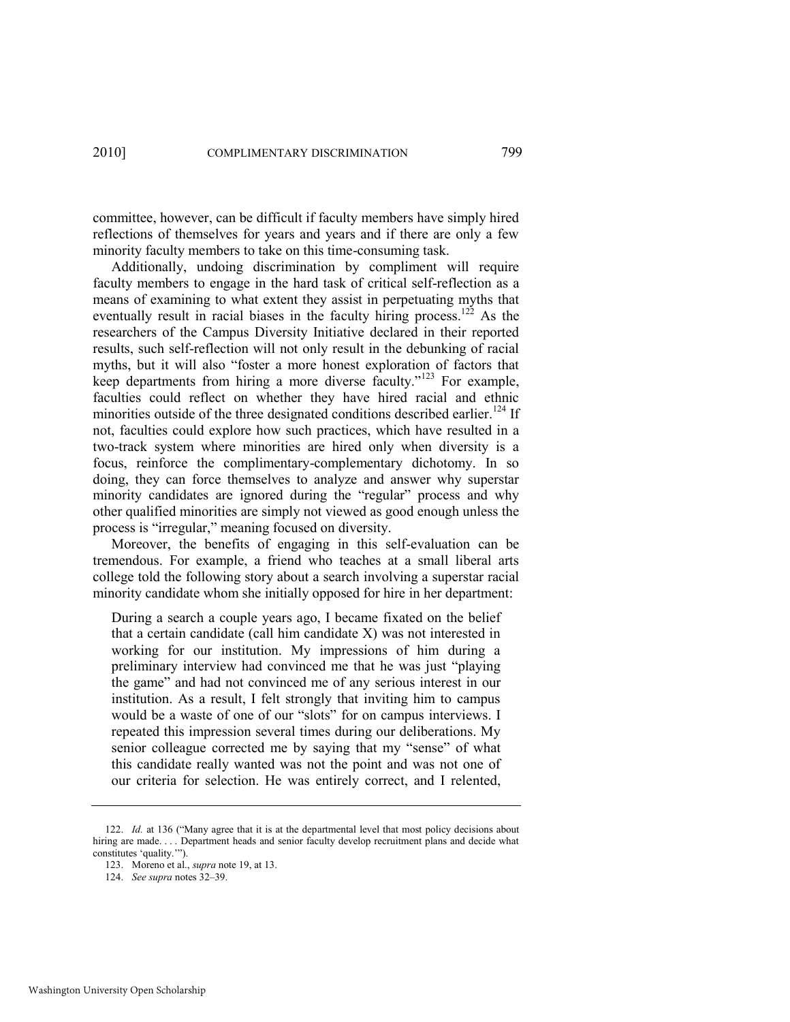committee, however, can be difficult if faculty members have simply hired reflections of themselves for years and years and if there are only a few minority faculty members to take on this time-consuming task.

Additionally, undoing discrimination by compliment will require faculty members to engage in the hard task of critical self-reflection as a means of examining to what extent they assist in perpetuating myths that eventually result in racial biases in the faculty hiring process.<sup>122</sup> As the researchers of the Campus Diversity Initiative declared in their reported results, such self-reflection will not only result in the debunking of racial myths, but it will also "foster a more honest exploration of factors that keep departments from hiring a more diverse faculty."<sup>123</sup> For example, faculties could reflect on whether they have hired racial and ethnic minorities outside of the three designated conditions described earlier.<sup>124</sup> If not, faculties could explore how such practices, which have resulted in a two-track system where minorities are hired only when diversity is a focus, reinforce the complimentary-complementary dichotomy. In so doing, they can force themselves to analyze and answer why superstar minority candidates are ignored during the "regular" process and why other qualified minorities are simply not viewed as good enough unless the process is "irregular," meaning focused on diversity.

Moreover, the benefits of engaging in this self-evaluation can be tremendous. For example, a friend who teaches at a small liberal arts college told the following story about a search involving a superstar racial minority candidate whom she initially opposed for hire in her department:

During a search a couple years ago, I became fixated on the belief that a certain candidate (call him candidate X) was not interested in working for our institution. My impressions of him during a preliminary interview had convinced me that he was just "playing" the game" and had not convinced me of any serious interest in our institution. As a result, I felt strongly that inviting him to campus would be a waste of one of our "slots" for on campus interviews. I repeated this impression several times during our deliberations. My senior colleague corrected me by saying that my "sense" of what this candidate really wanted was not the point and was not one of our criteria for selection. He was entirely correct, and I relented,

<sup>122.</sup> *Id.* at 136 ("Many agree that it is at the departmental level that most policy decisions about hiring are made. . . . Department heads and senior faculty develop recruitment plans and decide what constitutes 'quality.'").

<sup>123.</sup> Moreno et al., *supra* not[e 19,](#page-9-0) at 13.

<sup>124.</sup> *See supra* note[s 32](#page-11-1)–[39.](#page-13-1)